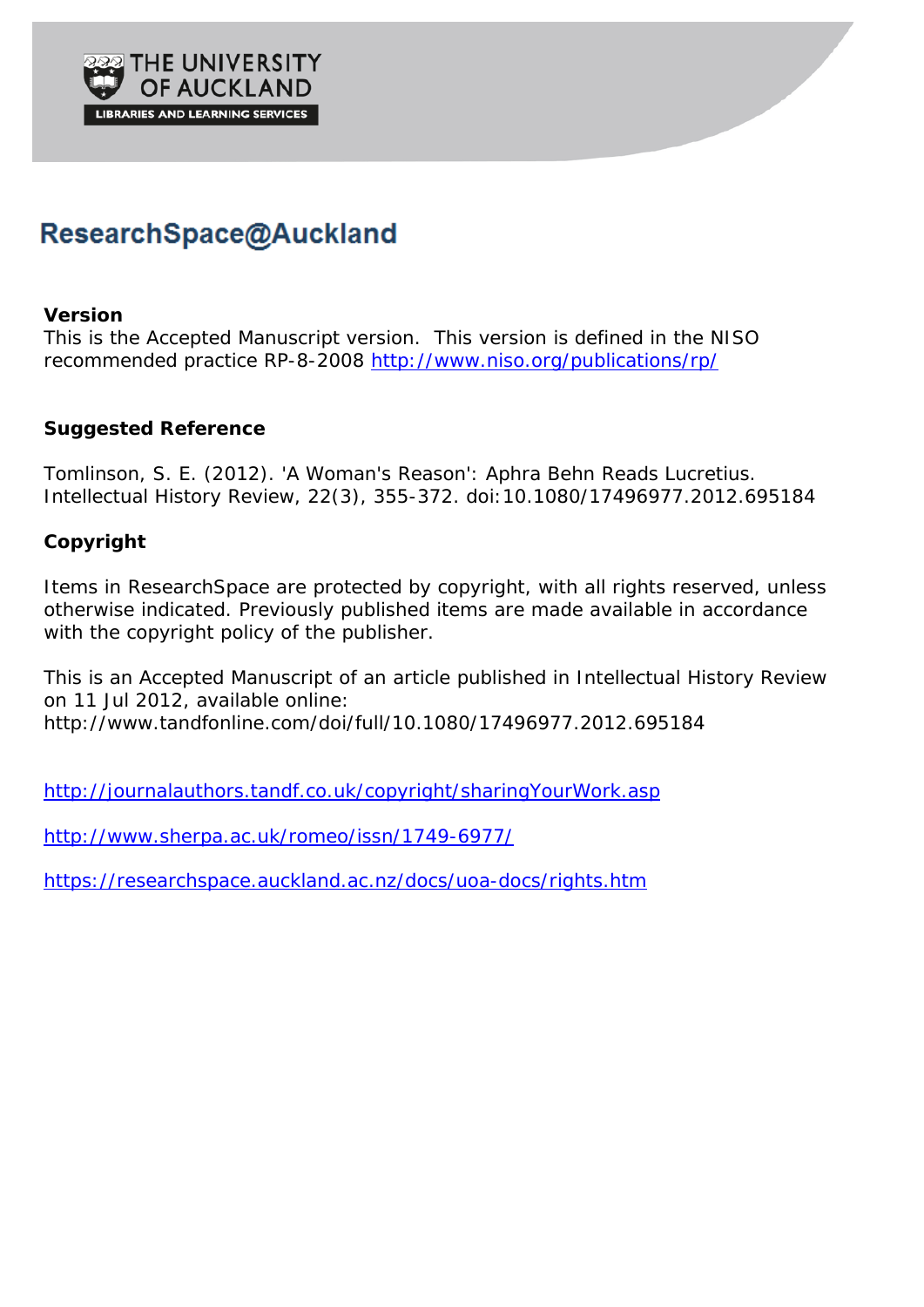

# ResearchSpace@Auckland

### **Version**

This is the Accepted Manuscript version. This version is defined in the NISO recommended practice RP-8-2008<http://www.niso.org/publications/rp/>

## **Suggested Reference**

Tomlinson, S. E. (2012). 'A Woman's Reason': Aphra Behn Reads Lucretius. *Intellectual History Review*, *22*(3), 355-372. doi:10.1080/17496977.2012.695184

## **Copyright**

Items in ResearchSpace are protected by copyright, with all rights reserved, unless otherwise indicated. Previously published items are made available in accordance with the copyright policy of the publisher.

This is an Accepted Manuscript of an article published in *Intellectual History Review* on 11 Jul 2012, available online: http://www.tandfonline.com/doi/full/10.1080/17496977.2012.695184

<http://journalauthors.tandf.co.uk/copyright/sharingYourWork.asp>

<http://www.sherpa.ac.uk/romeo/issn/1749-6977/>

<https://researchspace.auckland.ac.nz/docs/uoa-docs/rights.htm>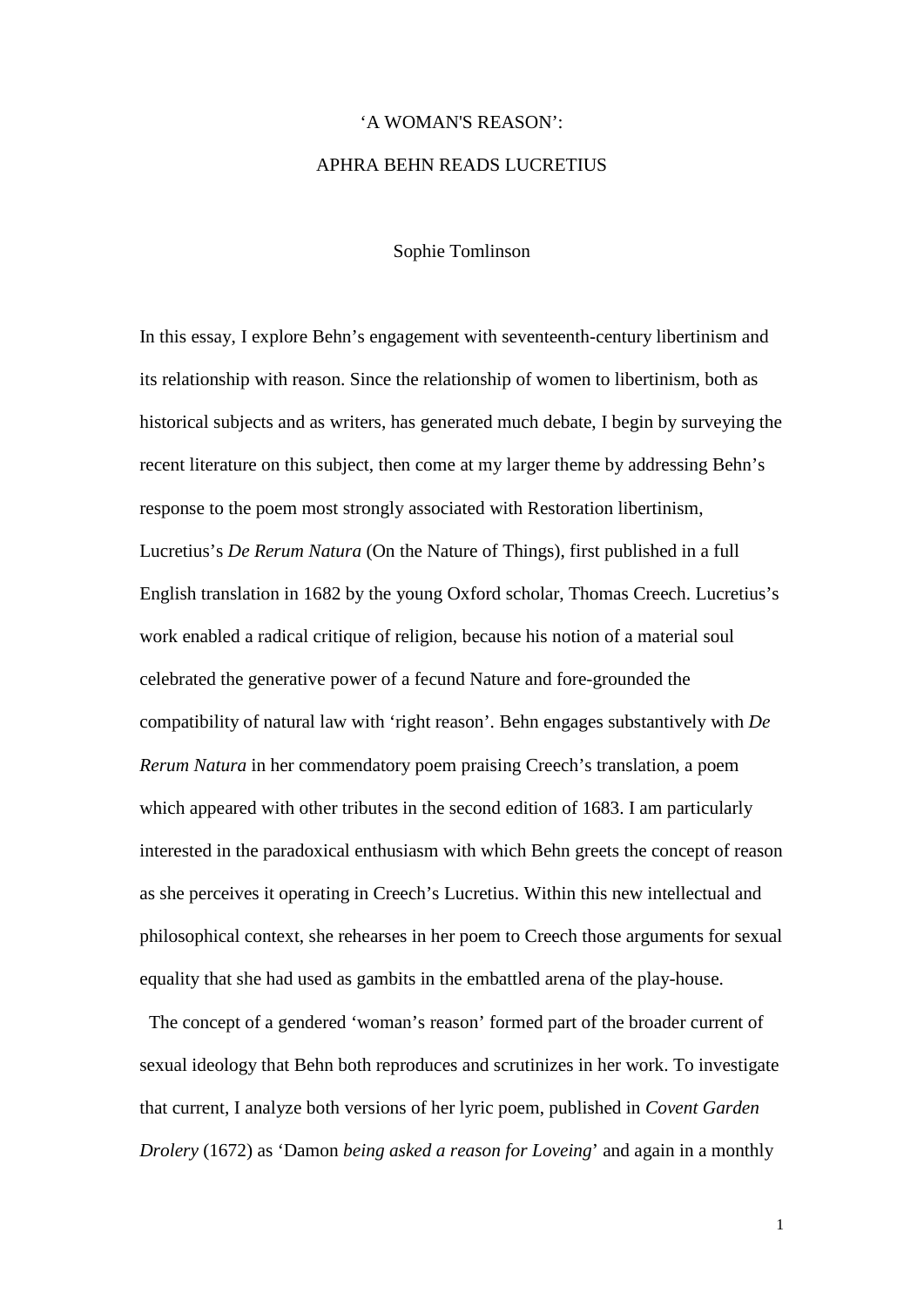## 'A WOMAN'S REASON': APHRA BEHN READS LUCRETIUS

Sophie Tomlinson

In this essay, I explore Behn's engagement with seventeenth-century libertinism and its relationship with reason. Since the relationship of women to libertinism, both as historical subjects and as writers, has generated much debate, I begin by surveying the recent literature on this subject, then come at my larger theme by addressing Behn's response to the poem most strongly associated with Restoration libertinism, Lucretius's *De Rerum Natura* (On the Nature of Things), first published in a full English translation in 1682 by the young Oxford scholar, Thomas Creech. Lucretius's work enabled a radical critique of religion, because his notion of a material soul celebrated the generative power of a fecund Nature and fore-grounded the compatibility of natural law with 'right reason'. Behn engages substantively with *De Rerum Natura* in her commendatory poem praising Creech's translation, a poem which appeared with other tributes in the second edition of 1683. I am particularly interested in the paradoxical enthusiasm with which Behn greets the concept of reason as she perceives it operating in Creech's Lucretius. Within this new intellectual and philosophical context, she rehearses in her poem to Creech those arguments for sexual equality that she had used as gambits in the embattled arena of the play-house.

 The concept of a gendered 'woman's reason' formed part of the broader current of sexual ideology that Behn both reproduces and scrutinizes in her work. To investigate that current, I analyze both versions of her lyric poem, published in *Covent Garden Drolery* (1672) as 'Damon *being asked a reason for Loveing*' and again in a monthly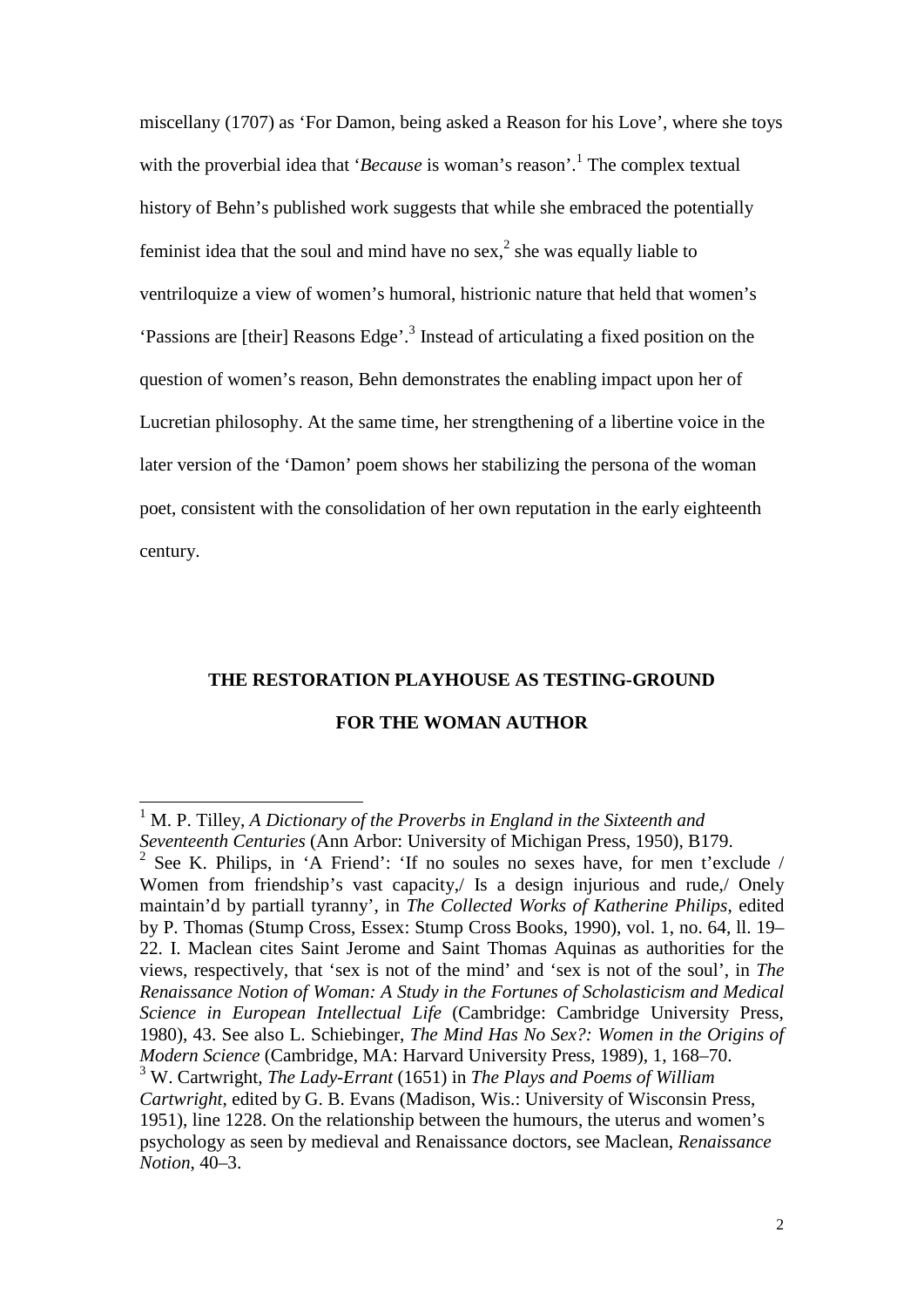miscellany (1707) as 'For Damon, being asked a Reason for his Love', where she toys with the proverbial idea that *'Because* is woman's reason'.<sup>1</sup> The complex textual history of Behn's published work suggests that while she embraced the potentially feminist idea that the soul and mind have no sex, $<sup>2</sup>$  she was equally liable to</sup> ventriloquize a view of women's humoral, histrionic nature that held that women's 'Passions are [their] Reasons Edge'.<sup>3</sup> Instead of articulating a fixed position on the question of women's reason, Behn demonstrates the enabling impact upon her of Lucretian philosophy. At the same time, her strengthening of a libertine voice in the later version of the 'Damon' poem shows her stabilizing the persona of the woman poet, consistent with the consolidation of her own reputation in the early eighteenth century.

#### **THE RESTORATION PLAYHOUSE AS TESTING-GROUND**

#### **FOR THE WOMAN AUTHOR**

<sup>&</sup>lt;sup>1</sup> M. P. Tilley, *A Dictionary of the Proverbs in England in the Sixteenth and Seventeenth Centuries* (Ann Arbor: University of Michigan Press, 1950), B179.

<sup>2</sup> See K. Philips, in 'A Friend': 'If no soules no sexes have, for men t'exclude / Women from friendship's vast capacity, Is a design injurious and rude, Onely maintain'd by partiall tyranny', in *The Collected Works of Katherine Philips*, edited by P. Thomas (Stump Cross, Essex: Stump Cross Books, 1990), vol. 1, no. 64, ll. 19– 22. I. Maclean cites Saint Jerome and Saint Thomas Aquinas as authorities for the views, respectively, that 'sex is not of the mind' and 'sex is not of the soul', in *The Renaissance Notion of Woman: A Study in the Fortunes of Scholasticism and Medical Science in European Intellectual Life* (Cambridge: Cambridge University Press, 1980), 43. See also L. Schiebinger, *The Mind Has No Sex?: Women in the Origins of Modern Science* (Cambridge, MA: Harvard University Press, 1989), 1, 168–70. <sup>3</sup> W. Cartwright, *The Lady-Errant* (1651) in *The Plays and Poems of William* 

*Cartwright*, edited by G. B. Evans (Madison, Wis.: University of Wisconsin Press, 1951), line 1228. On the relationship between the humours, the uterus and women's psychology as seen by medieval and Renaissance doctors, see Maclean, *Renaissance Notion*, 40–3.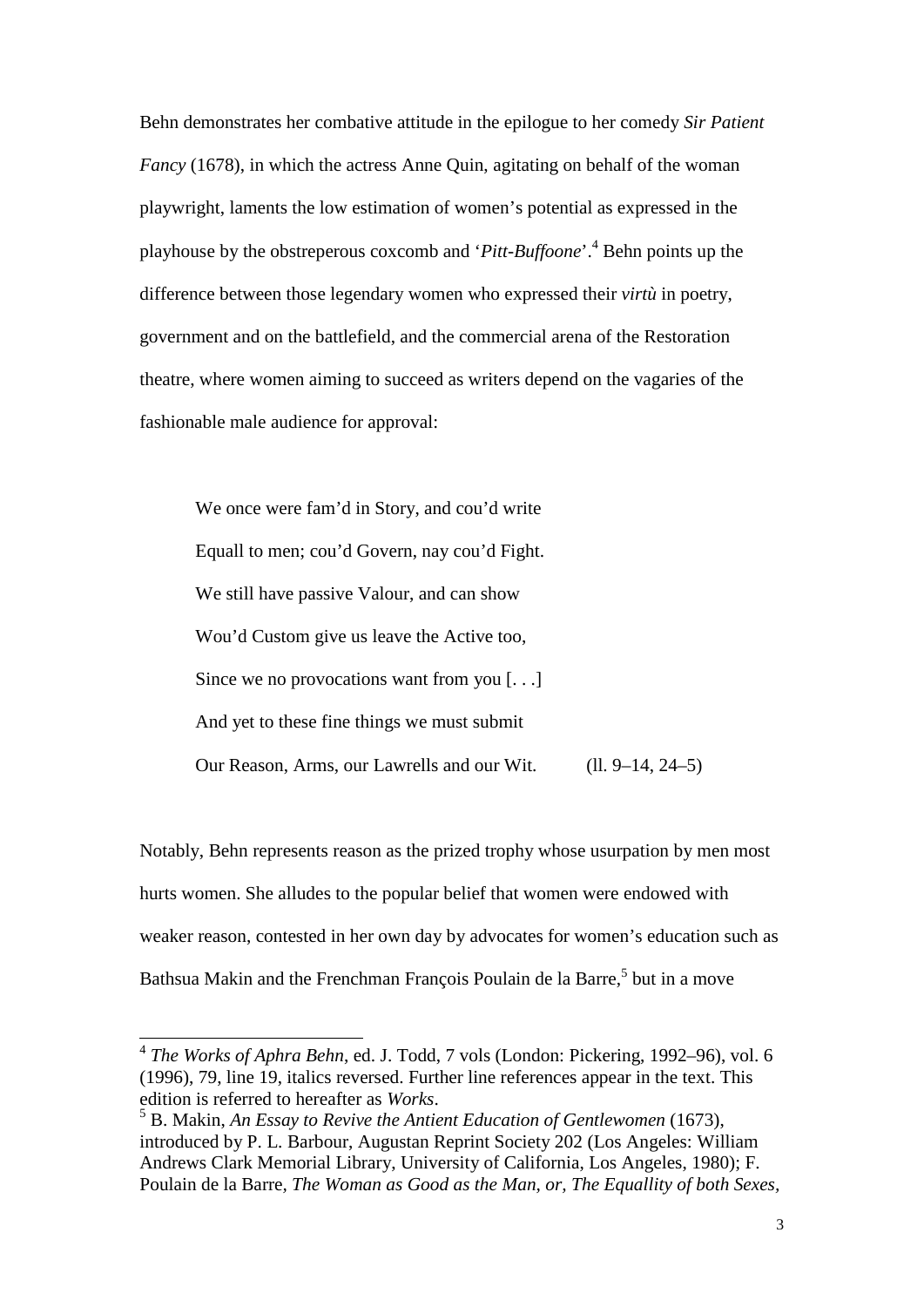Behn demonstrates her combative attitude in the epilogue to her comedy *Sir Patient Fancy* (1678), in which the actress Anne Quin, agitating on behalf of the woman playwright, laments the low estimation of women's potential as expressed in the playhouse by the obstreperous coxcomb and '*Pitt-Buffoone*'.4 Behn points up the difference between those legendary women who expressed their *virtù* in poetry, government and on the battlefield, and the commercial arena of the Restoration theatre, where women aiming to succeed as writers depend on the vagaries of the fashionable male audience for approval:

We once were fam'd in Story, and cou'd write Equall to men; cou'd Govern, nay cou'd Fight. We still have passive Valour, and can show Wou'd Custom give us leave the Active too, Since we no provocations want from you [...] And yet to these fine things we must submit Our Reason, Arms, our Lawrells and our Wit. (ll. 9–14, 24–5)

Notably, Behn represents reason as the prized trophy whose usurpation by men most hurts women. She alludes to the popular belief that women were endowed with weaker reason, contested in her own day by advocates for women's education such as Bathsua Makin and the Frenchman François Poulain de la Barre,<sup>5</sup> but in a move

<sup>4</sup> *The Works of Aphra Behn*, ed. J. Todd, 7 vols (London: Pickering, 1992–96), vol. 6 (1996), 79, line 19, italics reversed. Further line references appear in the text. This edition is referred to hereafter as *Works*. <sup>5</sup> B. Makin, *An Essay to Revive the Antient Education of Gentlewomen* (1673),

introduced by P. L. Barbour, Augustan Reprint Society 202 (Los Angeles: William Andrews Clark Memorial Library, University of California, Los Angeles, 1980); F. Poulain de la Barre*, The Woman as Good as the Man, or, The Equallity of both Sexes,*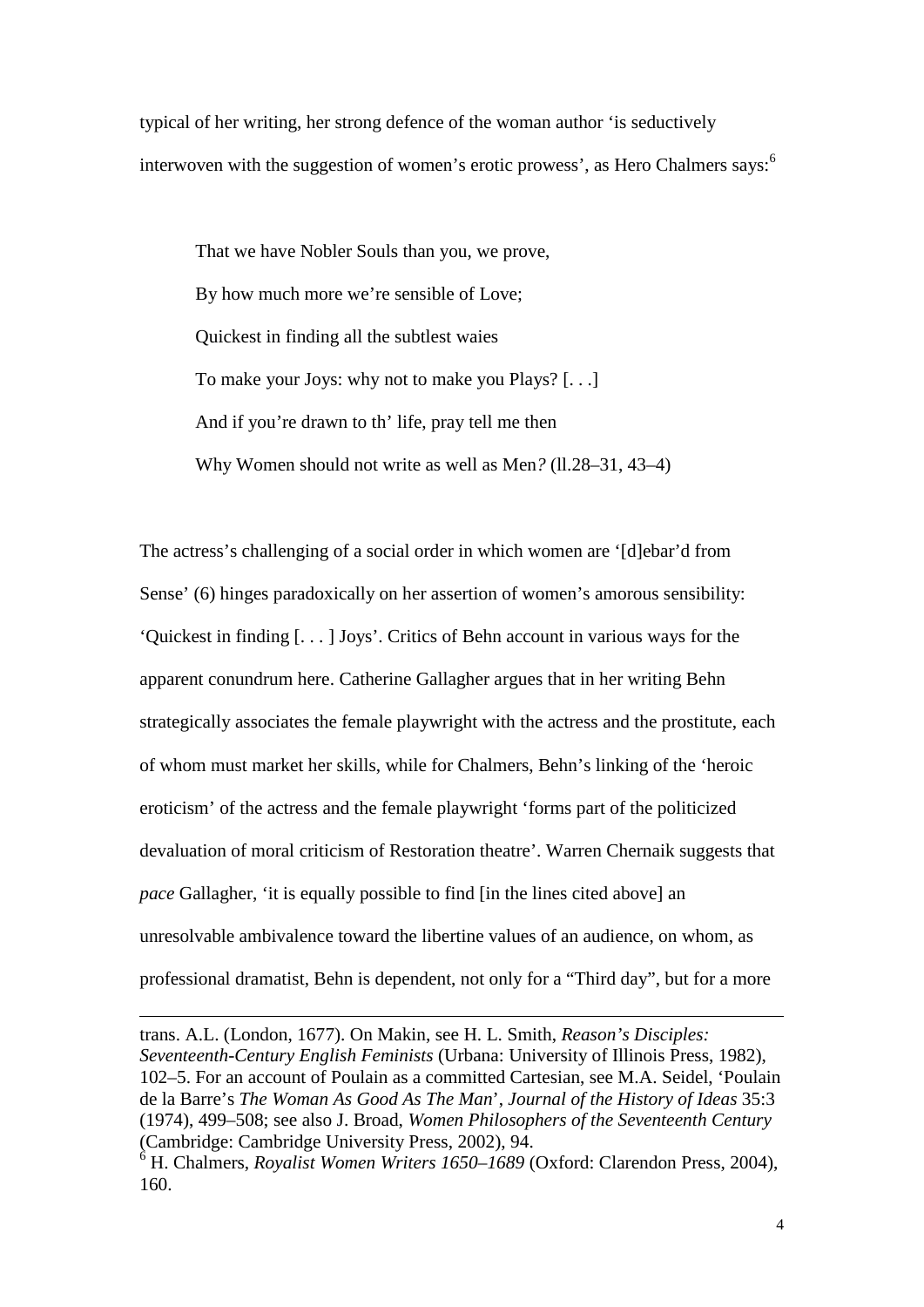typical of her writing, her strong defence of the woman author 'is seductively interwoven with the suggestion of women's erotic prowess', as Hero Chalmers says: $6\overline{6}$ 

That we have Nobler Souls than you, we prove, By how much more we're sensible of Love; Quickest in finding all the subtlest waies To make your Joys: why not to make you Plays? [. . .] And if you're drawn to th' life, pray tell me then Why Women should not write as well as Men? (11.28–31, 43–4)

The actress's challenging of a social order in which women are '[d]ebar'd from Sense' (6) hinges paradoxically on her assertion of women's amorous sensibility: 'Quickest in finding [. . . ] Joys'. Critics of Behn account in various ways for the apparent conundrum here. Catherine Gallagher argues that in her writing Behn strategically associates the female playwright with the actress and the prostitute, each of whom must market her skills, while for Chalmers, Behn's linking of the 'heroic eroticism' of the actress and the female playwright 'forms part of the politicized devaluation of moral criticism of Restoration theatre'. Warren Chernaik suggests that *pace* Gallagher, 'it is equally possible to find [in the lines cited above] an unresolvable ambivalence toward the libertine values of an audience, on whom, as professional dramatist, Behn is dependent, not only for a "Third day", but for a more

trans. A.L. (London, 1677). On Makin, see H. L. Smith, *Reason's Disciples: Seventeenth-Century English Feminists* (Urbana: University of Illinois Press, 1982), 102–5. For an account of Poulain as a committed Cartesian, see M.A. Seidel, 'Poulain de la Barre's *The Woman As Good As The Man*', *Journal of the History of Ideas* 35:3 (1974), 499–508; see also J. Broad, *Women Philosophers of the Seventeenth Century* (Cambridge: Cambridge University Press, 2002), 94.

<sup>6</sup> H. Chalmers, *Royalist Women Writers 1650–1689* (Oxford: Clarendon Press, 2004), 160.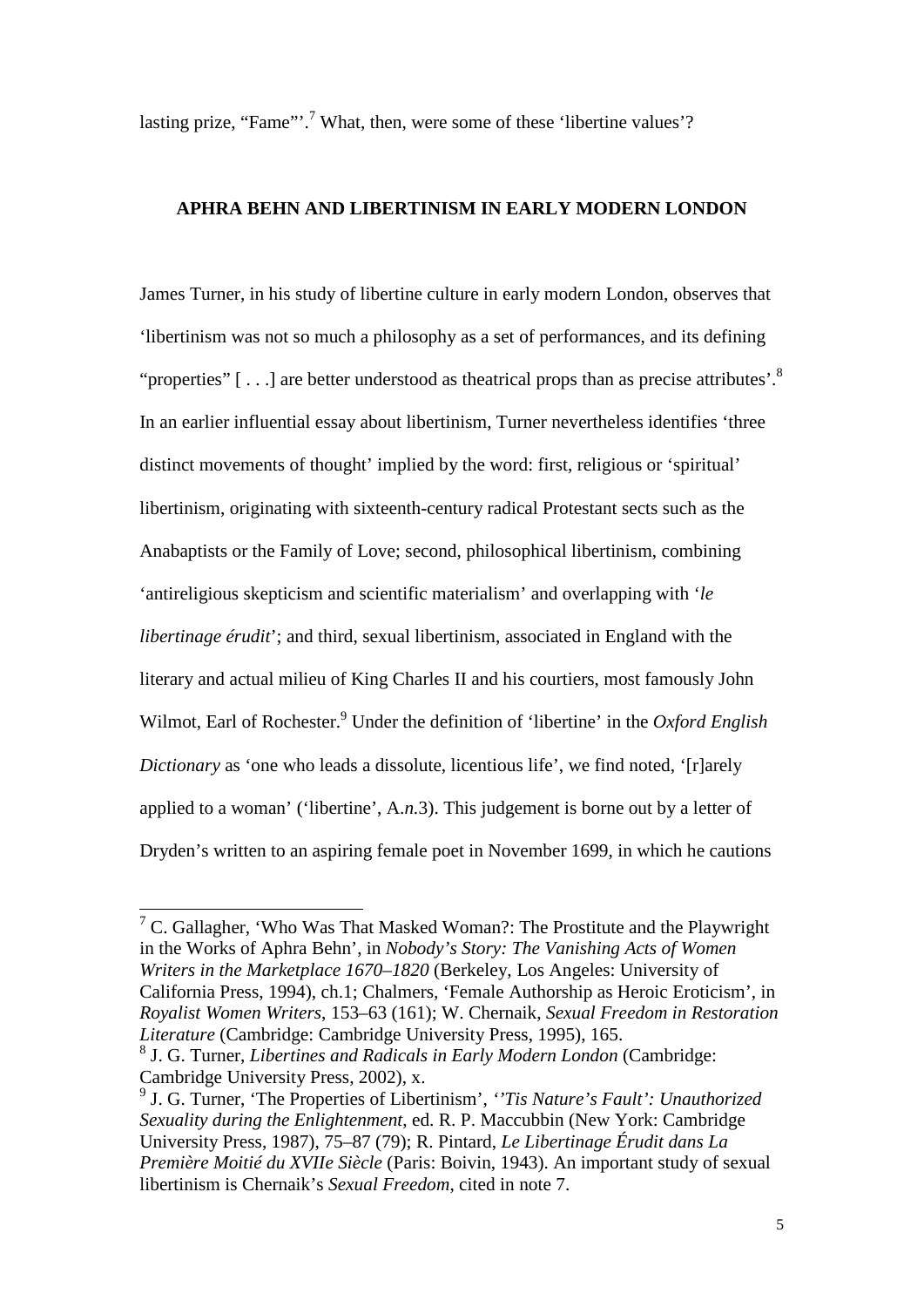lasting prize, "Fame"'.<sup>7</sup> What, then, were some of these 'libertine values'?

#### **APHRA BEHN AND LIBERTINISM IN EARLY MODERN LONDON**

James Turner, in his study of libertine culture in early modern London, observes that 'libertinism was not so much a philosophy as a set of performances, and its defining "properties"  $[ \dots ]$  are better understood as theatrical props than as precise attributes'.<sup>8</sup> In an earlier influential essay about libertinism, Turner nevertheless identifies 'three distinct movements of thought' implied by the word: first, religious or 'spiritual' libertinism, originating with sixteenth-century radical Protestant sects such as the Anabaptists or the Family of Love; second, philosophical libertinism, combining 'antireligious skepticism and scientific materialism' and overlapping with '*le libertinage érudit*'; and third, sexual libertinism, associated in England with the literary and actual milieu of King Charles II and his courtiers, most famously John Wilmot, Earl of Rochester.<sup>9</sup> Under the definition of 'libertine' in the *Oxford English Dictionary* as 'one who leads a dissolute, licentious life', we find noted, '[r]arely applied to a woman' ('libertine', A.*n.*3). This judgement is borne out by a letter of Dryden's written to an aspiring female poet in November 1699, in which he cautions

 $7$  C. Gallagher, 'Who Was That Masked Woman?: The Prostitute and the Playwright in the Works of Aphra Behn', in *Nobody's Story: The Vanishing Acts of Women Writers in the Marketplace 1670–1820* (Berkeley, Los Angeles: University of California Press, 1994), ch.1; Chalmers*,* 'Female Authorship as Heroic Eroticism', in *Royalist Women Writers*, 153–63 (161); W. Chernaik, *Sexual Freedom in Restoration Literature* (Cambridge: Cambridge University Press, 1995), 165.

<sup>8</sup> J. G. Turner, *Libertines and Radicals in Early Modern London* (Cambridge: Cambridge University Press, 2002), x.

<sup>9</sup> J. G. Turner, 'The Properties of Libertinism', *''Tis Nature's Fault': Unauthorized Sexuality during the Enlightenment*, ed. R. P. Maccubbin (New York: Cambridge University Press, 1987), 75–87 (79); R. Pintard, *Le Libertinage Érudit dans La Première Moitié du XVIIe Siècle* (Paris: Boivin, 1943). An important study of sexual libertinism is Chernaik's *Sexual Freedom*, cited in note 7.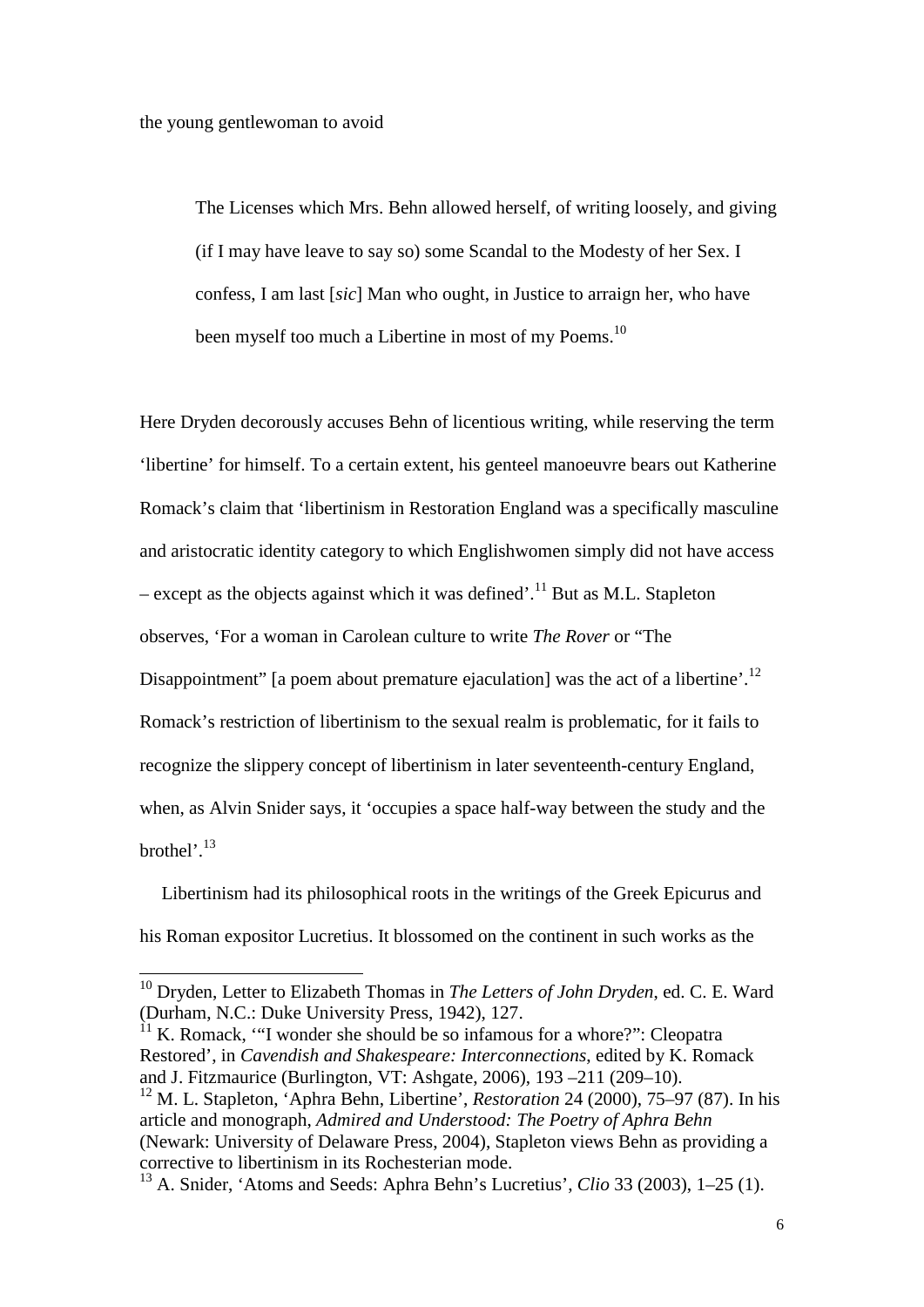-

The Licenses which Mrs. Behn allowed herself, of writing loosely, and giving (if I may have leave to say so) some Scandal to the Modesty of her Sex. I confess, I am last [*sic*] Man who ought, in Justice to arraign her, who have been myself too much a Libertine in most of my Poems.<sup>10</sup>

Here Dryden decorously accuses Behn of licentious writing, while reserving the term 'libertine' for himself. To a certain extent, his genteel manoeuvre bears out Katherine Romack's claim that 'libertinism in Restoration England was a specifically masculine and aristocratic identity category to which Englishwomen simply did not have access – except as the objects against which it was defined'.<sup>11</sup> But as M.L. Stapleton observes, 'For a woman in Carolean culture to write *The Rover* or "The Disappointment" [a poem about premature ejaculation] was the act of a libertine'.<sup>12</sup> Romack's restriction of libertinism to the sexual realm is problematic, for it fails to recognize the slippery concept of libertinism in later seventeenth-century England, when, as Alvin Snider says, it 'occupies a space half-way between the study and the brothel'.<sup>13</sup>

Libertinism had its philosophical roots in the writings of the Greek Epicurus and his Roman expositor Lucretius. It blossomed on the continent in such works as the

 $11$  K. Romack, "I wonder she should be so infamous for a whore?": Cleopatra Restored', in *Cavendish and Shakespeare: Interconnections*, edited by K. Romack and J. Fitzmaurice (Burlington, VT: Ashgate, 2006), 193 –211 (209–10).

<sup>10</sup> Dryden, Letter to Elizabeth Thomas in *The Letters of John Dryden*, ed. C. E. Ward (Durham, N.C.: Duke University Press, 1942), 127.

<sup>12</sup> M. L. Stapleton, 'Aphra Behn, Libertine', *Restoration* 24 (2000), 75–97 (87). In his article and monograph, *Admired and Understood: The Poetry of Aphra Behn* (Newark: University of Delaware Press, 2004), Stapleton views Behn as providing a corrective to libertinism in its Rochesterian mode.

<sup>13</sup> A. Snider, 'Atoms and Seeds: Aphra Behn's Lucretius', *Clio* 33 (2003), 1–25 (1).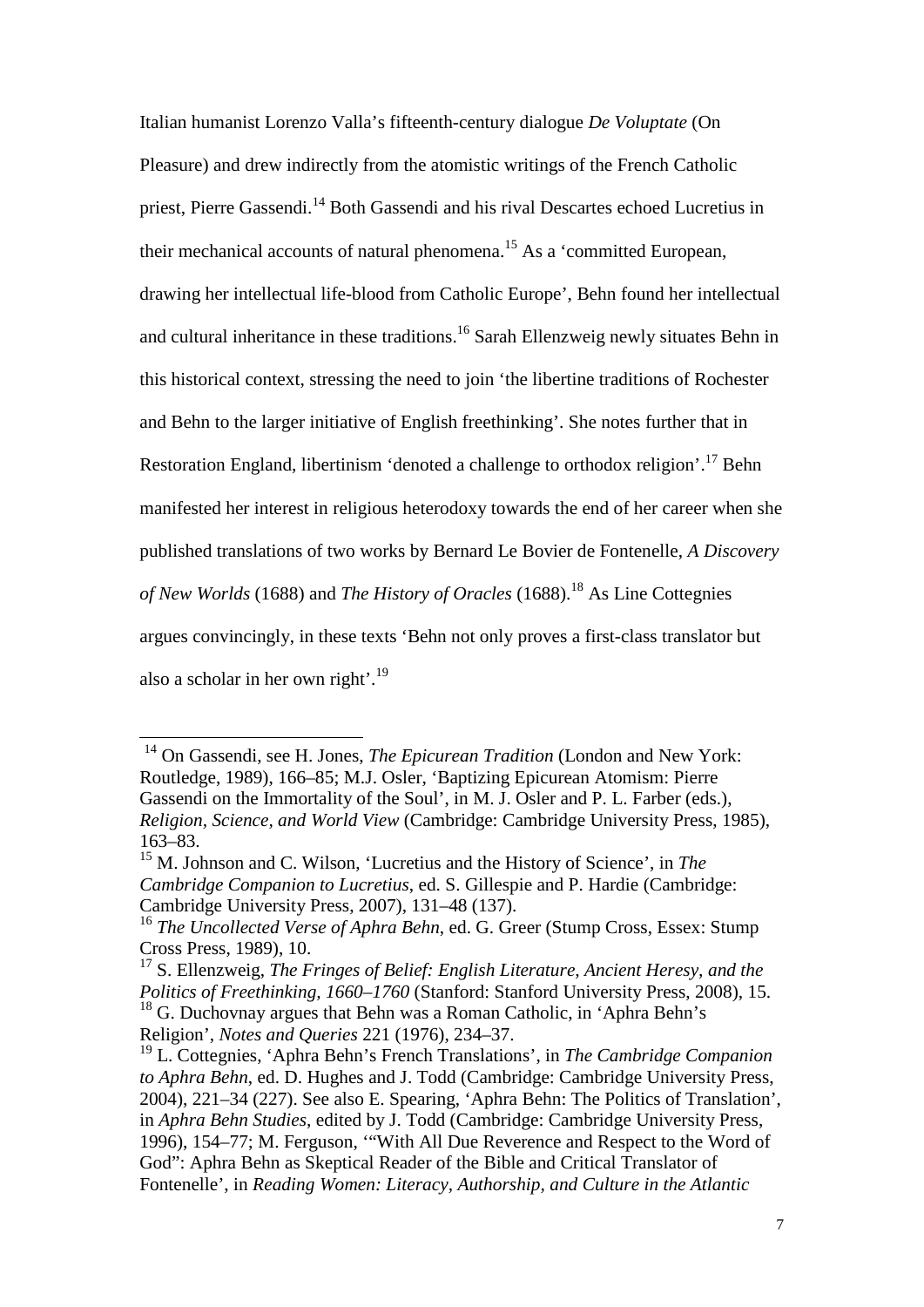Italian humanist Lorenzo Valla's fifteenth-century dialogue *De Voluptate* (On Pleasure) and drew indirectly from the atomistic writings of the French Catholic priest, Pierre Gassendi.<sup>14</sup> Both Gassendi and his rival Descartes echoed Lucretius in their mechanical accounts of natural phenomena.<sup>15</sup> As a 'committed European, drawing her intellectual life-blood from Catholic Europe', Behn found her intellectual and cultural inheritance in these traditions.<sup>16</sup> Sarah Ellenzweig newly situates Behn in this historical context, stressing the need to join 'the libertine traditions of Rochester and Behn to the larger initiative of English freethinking'. She notes further that in Restoration England, libertinism 'denoted a challenge to orthodox religion'.17 Behn manifested her interest in religious heterodoxy towards the end of her career when she published translations of two works by Bernard Le Bovier de Fontenelle, *A Discovery of New Worlds* (1688) and *The History of Oracles* (1688).<sup>18</sup> As Line Cottegnies argues convincingly, in these texts 'Behn not only proves a first-class translator but also a scholar in her own right'.<sup>19</sup>

<sup>&</sup>lt;sup>14</sup> On Gassendi, see H. Jones, *The Epicurean Tradition* (London and New York: Routledge, 1989), 166–85; M.J. Osler, 'Baptizing Epicurean Atomism: Pierre Gassendi on the Immortality of the Soul', in M. J. Osler and P. L. Farber (eds.), *Religion, Science, and World View* (Cambridge: Cambridge University Press, 1985), 163–83.

<sup>15</sup> M. Johnson and C. Wilson, 'Lucretius and the History of Science', in *The Cambridge Companion to Lucretius*, ed. S. Gillespie and P. Hardie (Cambridge: Cambridge University Press, 2007), 131–48 (137).

<sup>16</sup> *The Uncollected Verse of Aphra Behn*, ed. G. Greer (Stump Cross, Essex: Stump Cross Press, 1989), 10.

<sup>17</sup> S. Ellenzweig, *The Fringes of Belief: English Literature, Ancient Heresy, and the Politics of Freethinking, 1660–1760* (Stanford: Stanford University Press, 2008), 15. <sup>18</sup> G. Duchovnay argues that Behn was a Roman Catholic, in 'Aphra Behn's Religion', *Notes and Queries* 221 (1976), 234–37.

<sup>19</sup> L. Cottegnies, 'Aphra Behn's French Translations', in *The Cambridge Companion to Aphra Behn*, ed. D. Hughes and J. Todd (Cambridge: Cambridge University Press, 2004), 221–34 (227). See also E. Spearing, 'Aphra Behn: The Politics of Translation', in *Aphra Behn Studies*, edited by J. Todd (Cambridge: Cambridge University Press, 1996), 154–77; M. Ferguson, '"With All Due Reverence and Respect to the Word of God": Aphra Behn as Skeptical Reader of the Bible and Critical Translator of Fontenelle', in *Reading Women: Literacy, Authorship, and Culture in the Atlantic*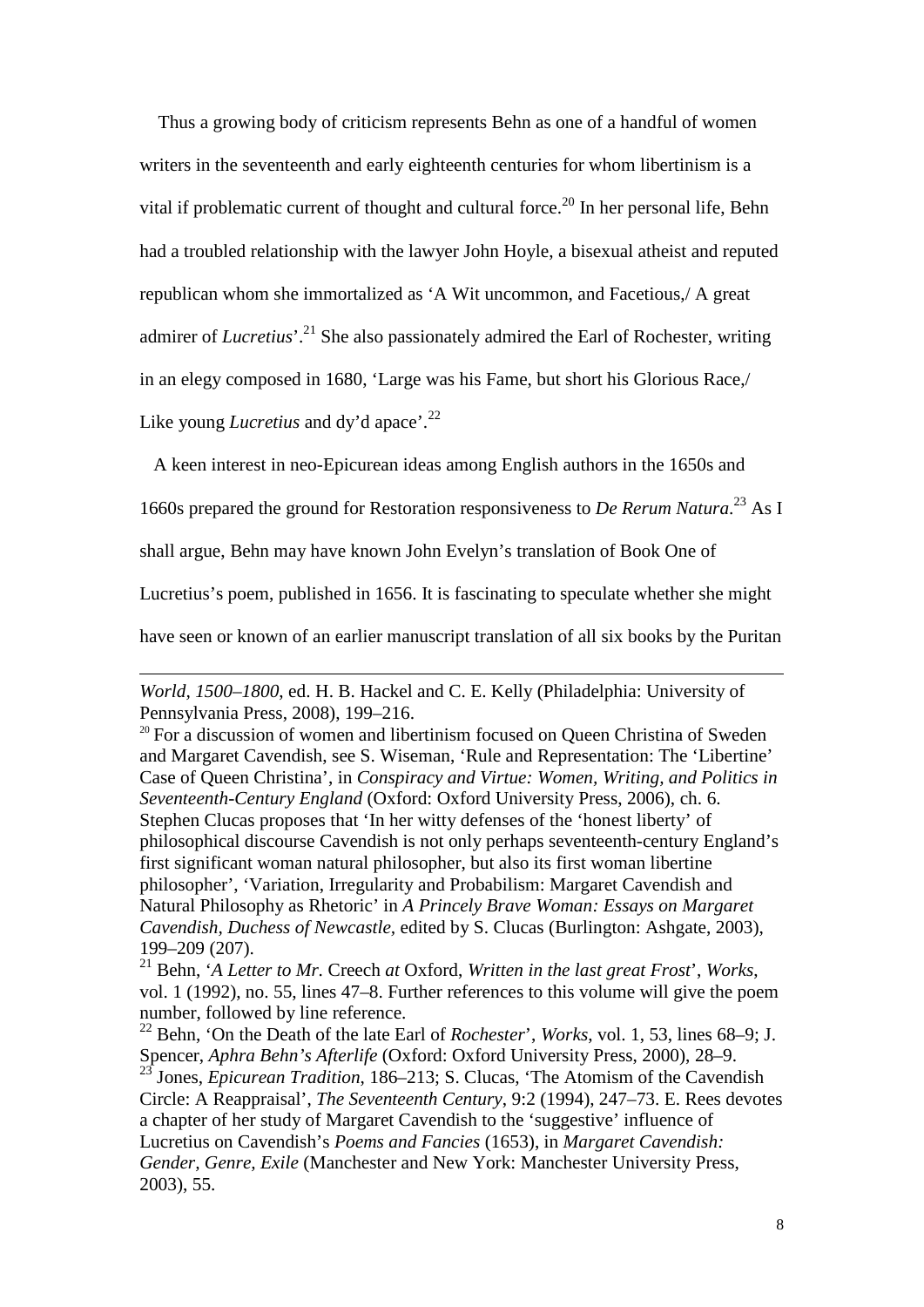Thus a growing body of criticism represents Behn as one of a handful of women writers in the seventeenth and early eighteenth centuries for whom libertinism is a vital if problematic current of thought and cultural force.<sup>20</sup> In her personal life, Behn had a troubled relationship with the lawyer John Hoyle, a bisexual atheist and reputed republican whom she immortalized as 'A Wit uncommon, and Facetious,/ A great admirer of *Lucretius*<sup>'. 21</sup> She also passionately admired the Earl of Rochester, writing in an elegy composed in 1680, 'Large was his Fame, but short his Glorious Race,/ Like young *Lucretius* and dy'd apace'.<sup>22</sup>

A keen interest in neo-Epicurean ideas among English authors in the 1650s and

1660s prepared the ground for Restoration responsiveness to *De Rerum Natura*. <sup>23</sup> As I

shall argue, Behn may have known John Evelyn's translation of Book One of

Lucretius's poem, published in 1656. It is fascinating to speculate whether she might

have seen or known of an earlier manuscript translation of all six books by the Puritan

*World, 1500–1800*, ed. H. B. Hackel and C. E. Kelly (Philadelphia: University of Pennsylvania Press, 2008), 199–216.

<sup>&</sup>lt;sup>20</sup> For a discussion of women and libertinism focused on Queen Christina of Sweden and Margaret Cavendish, see S. Wiseman, 'Rule and Representation: The 'Libertine' Case of Queen Christina', in *Conspiracy and Virtue: Women, Writing, and Politics in Seventeenth-Century England* (Oxford: Oxford University Press, 2006), ch. 6. Stephen Clucas proposes that 'In her witty defenses of the 'honest liberty' of philosophical discourse Cavendish is not only perhaps seventeenth-century England's first significant woman natural philosopher, but also its first woman libertine philosopher', 'Variation, Irregularity and Probabilism: Margaret Cavendish and Natural Philosophy as Rhetoric' in *A Princely Brave Woman: Essays on Margaret Cavendish, Duchess of Newcastle,* edited by S. Clucas (Burlington: Ashgate, 2003), 199–209 (207).

<sup>21</sup> Behn, '*A Letter to Mr.* Creech *at* Oxford, *Written in the last great Frost*', *Works*, vol. 1 (1992), no. 55, lines 47–8. Further references to this volume will give the poem number, followed by line reference.

<sup>22</sup> Behn, 'On the Death of the late Earl of *Rochester*', *Works*, vol. 1, 53, lines 68–9; J. Spencer, *Aphra Behn's Afterlife* (Oxford: Oxford University Press, 2000), 28–9. <sup>23</sup> Jones, *Epicurean Tradition*, 186–213; S. Clucas, 'The Atomism of the Cavendish Circle: A Reappraisal', *The Seventeenth Century*, 9:2 (1994), 247–73. E. Rees devotes a chapter of her study of Margaret Cavendish to the 'suggestive' influence of Lucretius on Cavendish's *Poems and Fancies* (1653), in *Margaret Cavendish:* 

*Gender, Genre, Exile* (Manchester and New York: Manchester University Press, 2003), 55.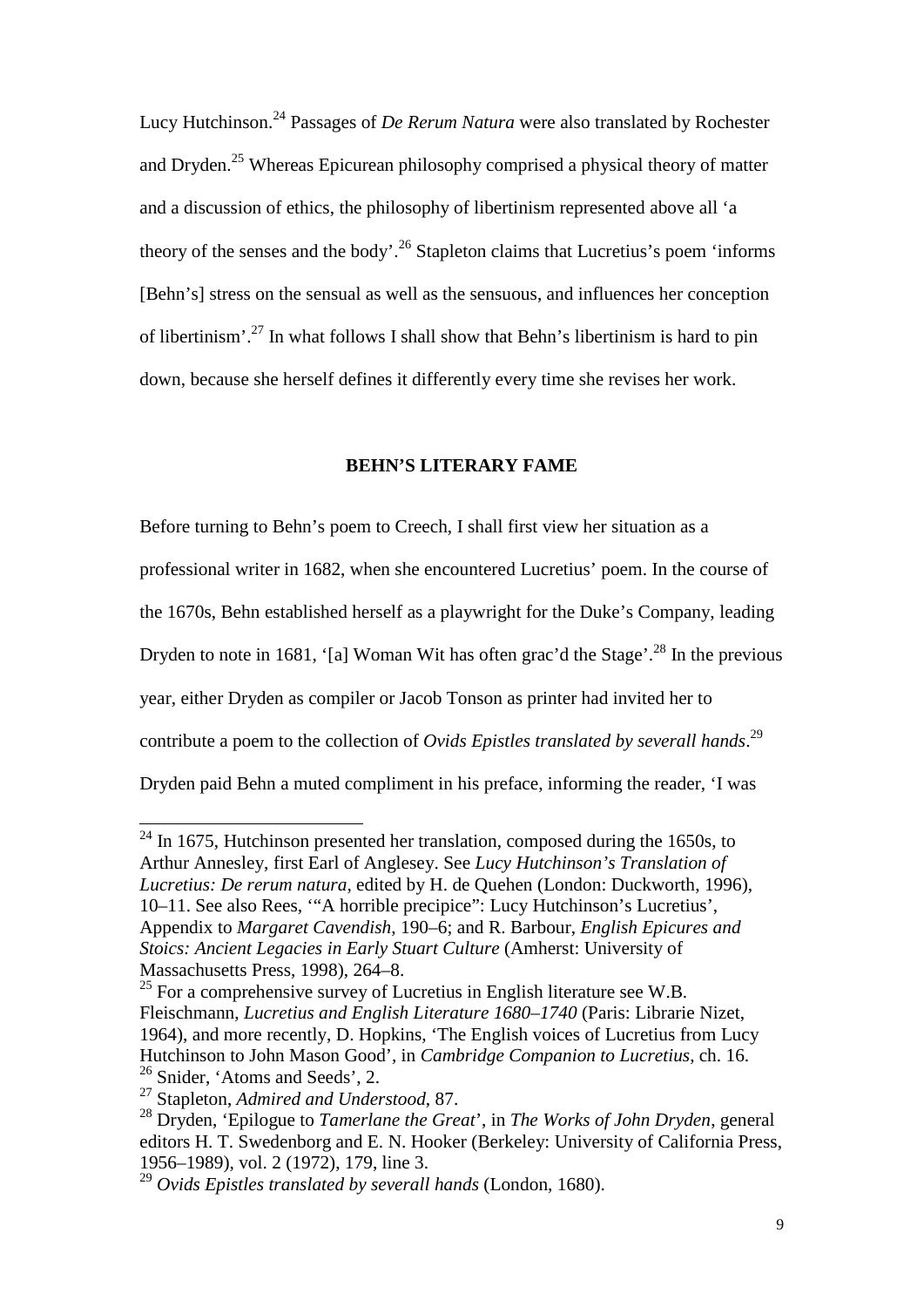Lucy Hutchinson. <sup>24</sup> Passages of *De Rerum Natura* were also translated by Rochester and Dryden.<sup>25</sup> Whereas Epicurean philosophy comprised a physical theory of matter and a discussion of ethics, the philosophy of libertinism represented above all 'a theory of the senses and the body'.<sup>26</sup> Stapleton claims that Lucretius's poem 'informs' [Behn's] stress on the sensual as well as the sensuous, and influences her conception of libertinism'.27 In what follows I shall show that Behn's libertinism is hard to pin down, because she herself defines it differently every time she revises her work.

#### **BEHN'S LITERARY FAME**

Before turning to Behn's poem to Creech, I shall first view her situation as a professional writer in 1682, when she encountered Lucretius' poem. In the course of the 1670s, Behn established herself as a playwright for the Duke's Company, leading Dryden to note in 1681, '[a] Woman Wit has often grac'd the Stage'.<sup>28</sup> In the previous year, either Dryden as compiler or Jacob Tonson as printer had invited her to contribute a poem to the collection of *Ovids Epistles translated by severall hands*. 29 Dryden paid Behn a muted compliment in his preface, informing the reader, 'I was

 $24$  In 1675, Hutchinson presented her translation, composed during the 1650s, to Arthur Annesley, first Earl of Anglesey. See *Lucy Hutchinson's Translation of Lucretius: De rerum natura*, edited by H. de Quehen (London: Duckworth, 1996), 10–11. See also Rees, '"A horrible precipice": Lucy Hutchinson's Lucretius', Appendix to *Margaret Cavendish*, 190–6; and R. Barbour, *English Epicures and Stoics: Ancient Legacies in Early Stuart Culture* (Amherst: University of Massachusetts Press, 1998), 264–8.

 $^{25}$  For a comprehensive survey of Lucretius in English literature see W.B. Fleischmann, *Lucretius and English Literature 1680–1740* (Paris: Librarie Nizet, 1964), and more recently, D. Hopkins, 'The English voices of Lucretius from Lucy Hutchinson to John Mason Good', in *Cambridge Companion to Lucretius*, ch. 16. <sup>26</sup> Snider, 'Atoms and Seeds', 2.

<sup>27</sup> Stapleton, *Admired and Understood*, 87.

<sup>28</sup> Dryden, 'Epilogue to *Tamerlane the Great*', in *The Works of John Dryden*, general editors H. T. Swedenborg and E. N. Hooker (Berkeley: University of California Press, 1956–1989), vol. 2 (1972), 179, line 3.

<sup>29</sup> *Ovids Epistles translated by severall hands* (London, 1680).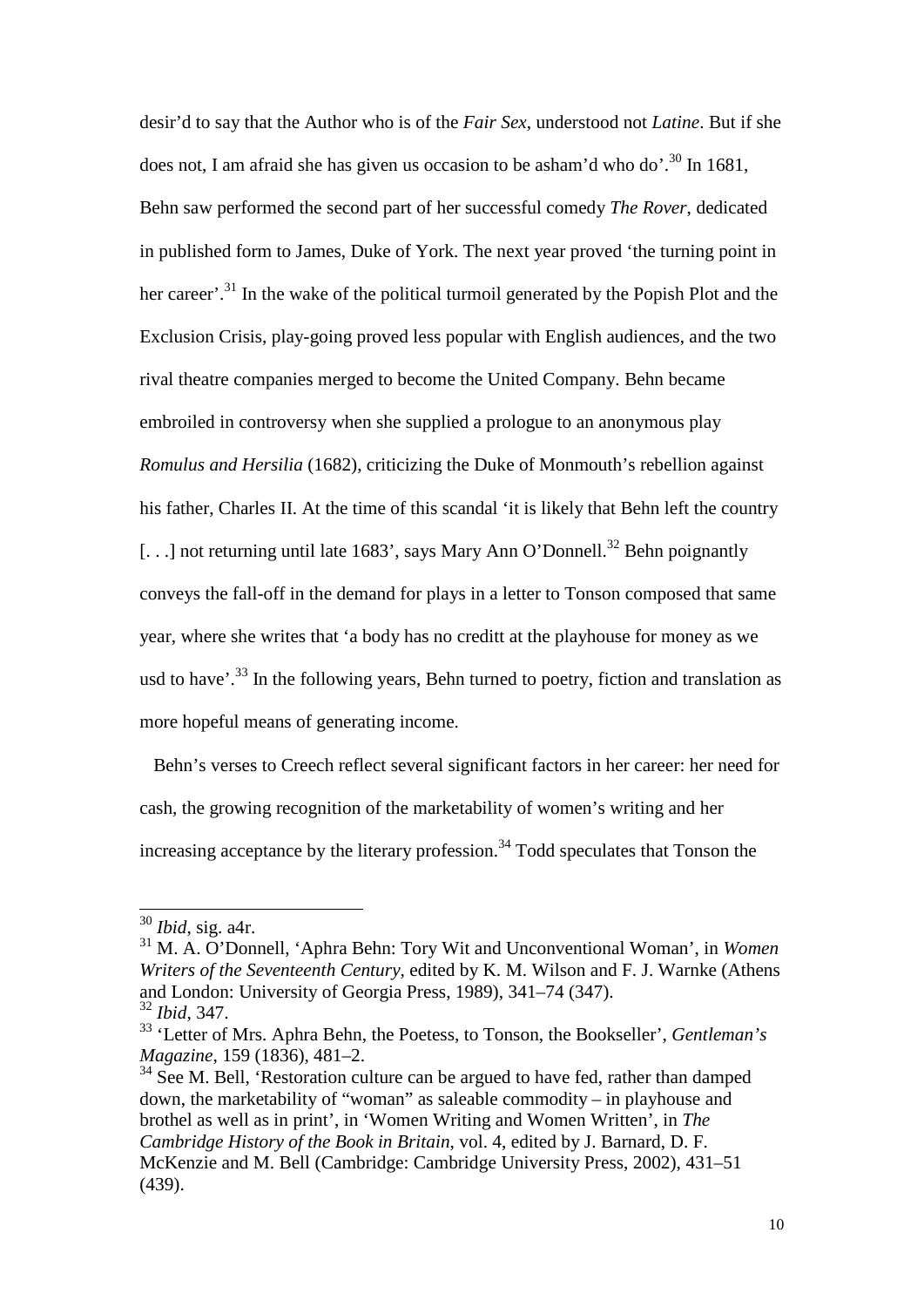desir'd to say that the Author who is of the *Fair Sex*, understood not *Latine*. But if she does not, I am afraid she has given us occasion to be asham'd who do'.<sup>30</sup> In 1681, Behn saw performed the second part of her successful comedy *The Rover*, dedicated in published form to James, Duke of York. The next year proved 'the turning point in her career'.<sup>31</sup> In the wake of the political turmoil generated by the Popish Plot and the Exclusion Crisis, play-going proved less popular with English audiences, and the two rival theatre companies merged to become the United Company. Behn became embroiled in controversy when she supplied a prologue to an anonymous play *Romulus and Hersilia* (1682), criticizing the Duke of Monmouth's rebellion against his father, Charles II. At the time of this scandal 'it is likely that Behn left the country [...] not returning until late 1683', says Mary Ann O'Donnell.<sup>32</sup> Behn poignantly conveys the fall-off in the demand for plays in a letter to Tonson composed that same year, where she writes that 'a body has no creditt at the playhouse for money as we usd to have'.<sup>33</sup> In the following years, Behn turned to poetry, fiction and translation as more hopeful means of generating income.

 Behn's verses to Creech reflect several significant factors in her career: her need for cash, the growing recognition of the marketability of women's writing and her increasing acceptance by the literary profession.<sup>34</sup> Todd speculates that Tonson the

1

 $34$  See M. Bell, 'Restoration culture can be argued to have fed, rather than damped down, the marketability of "woman" as saleable commodity – in playhouse and brothel as well as in print', in 'Women Writing and Women Written', in *The Cambridge History of the Book in Britain*, vol. 4, edited by J. Barnard, D. F. McKenzie and M. Bell (Cambridge: Cambridge University Press, 2002), 431–51 (439).

<sup>30</sup> *Ibid*, sig. a4r.

<sup>31</sup> M. A. O'Donnell, 'Aphra Behn: Tory Wit and Unconventional Woman', in *Women Writers of the Seventeenth Century*, edited by K. M. Wilson and F. J. Warnke (Athens and London: University of Georgia Press, 1989), 341–74 (347). <sup>32</sup> *Ibid*, 347.

<sup>33</sup> 'Letter of Mrs. Aphra Behn, the Poetess, to Tonson, the Bookseller', *Gentleman's Magazine*, 159 (1836), 481–2.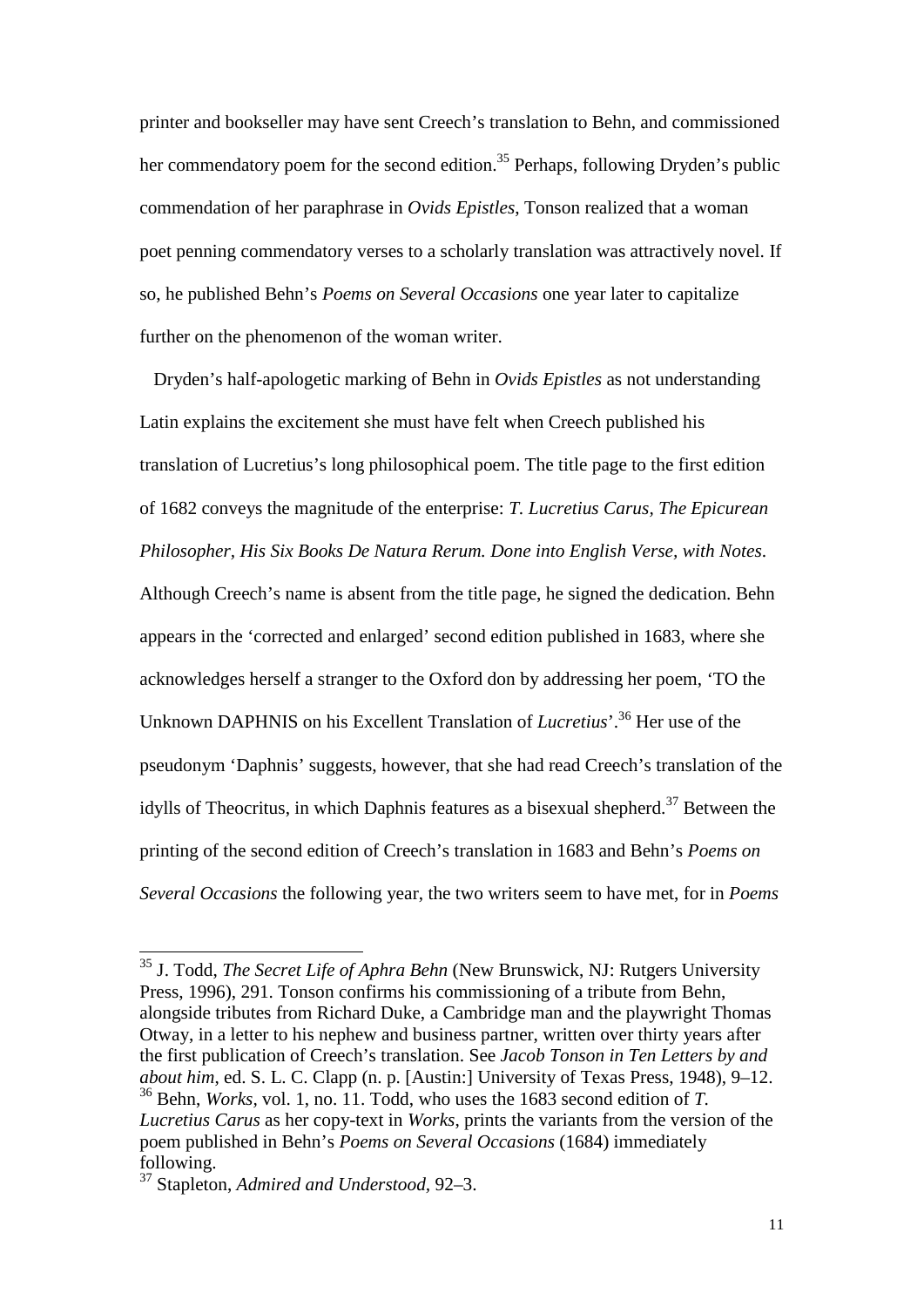printer and bookseller may have sent Creech's translation to Behn, and commissioned her commendatory poem for the second edition.<sup>35</sup> Perhaps, following Dryden's public commendation of her paraphrase in *Ovids Epistles*, Tonson realized that a woman poet penning commendatory verses to a scholarly translation was attractively novel. If so, he published Behn's *Poems on Several Occasions* one year later to capitalize further on the phenomenon of the woman writer.

 Dryden's half-apologetic marking of Behn in *Ovids Epistles* as not understanding Latin explains the excitement she must have felt when Creech published his translation of Lucretius's long philosophical poem. The title page to the first edition of 1682 conveys the magnitude of the enterprise: *T. Lucretius Carus, The Epicurean Philosopher, His Six Books De Natura Rerum. Done into English Verse, with Notes*. Although Creech's name is absent from the title page, he signed the dedication. Behn appears in the 'corrected and enlarged' second edition published in 1683, where she acknowledges herself a stranger to the Oxford don by addressing her poem, 'TO the Unknown DAPHNIS on his Excellent Translation of *Lucretius*'.36 Her use of the pseudonym 'Daphnis' suggests, however, that she had read Creech's translation of the idylls of Theocritus, in which Daphnis features as a bisexual shepherd.<sup>37</sup> Between the printing of the second edition of Creech's translation in 1683 and Behn's *Poems on Several Occasions* the following year, the two writers seem to have met, for in *Poems* 

<sup>35</sup> J. Todd, *The Secret Life of Aphra Behn* (New Brunswick, NJ: Rutgers University Press, 1996), 291. Tonson confirms his commissioning of a tribute from Behn, alongside tributes from Richard Duke, a Cambridge man and the playwright Thomas Otway, in a letter to his nephew and business partner, written over thirty years after the first publication of Creech's translation. See *Jacob Tonson in Ten Letters by and about him*, ed. S. L. C. Clapp (n. p. [Austin:] University of Texas Press, 1948), 9–12. <sup>36</sup> Behn, *Works,* vol. 1, no. 11. Todd, who uses the 1683 second edition of *T. Lucretius Carus* as her copy-text in *Works*, prints the variants from the version of the poem published in Behn's *Poems on Several Occasions* (1684) immediately following.

<sup>37</sup> Stapleton, *Admired and Understood,* 92–3.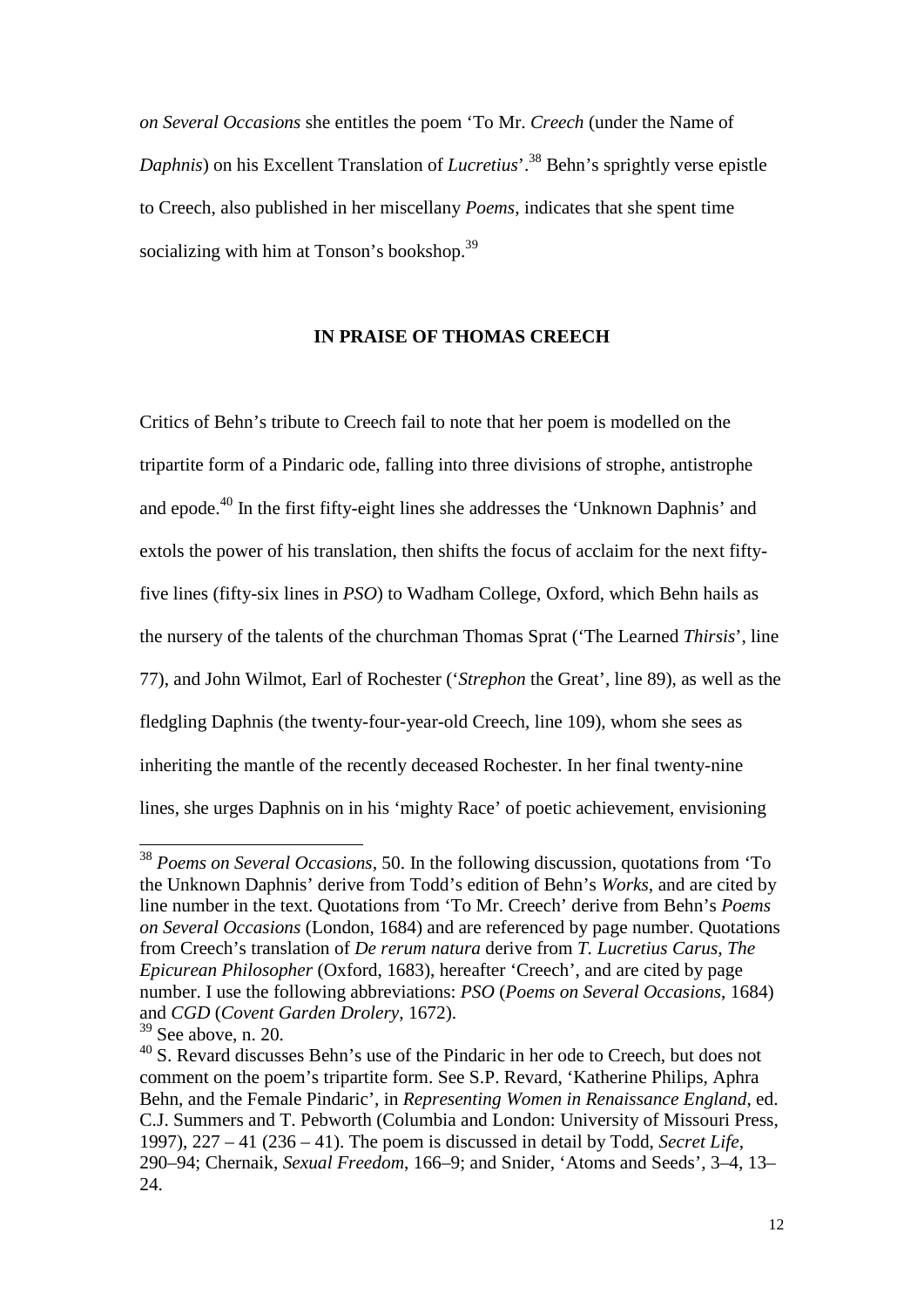*on Several Occasions* she entitles the poem 'To Mr. *Creech* (under the Name of *Daphnis*) on his Excellent Translation of *Lucretius*<sup>'</sup>.<sup>38</sup> Behn's sprightly verse epistle to Creech, also published in her miscellany *Poems*, indicates that she spent time socializing with him at Tonson's bookshop.<sup>39</sup>

#### **IN PRAISE OF THOMAS CREECH**

Critics of Behn's tribute to Creech fail to note that her poem is modelled on the tripartite form of a Pindaric ode, falling into three divisions of strophe, antistrophe and epode.<sup>40</sup> In the first fifty-eight lines she addresses the 'Unknown Daphnis' and extols the power of his translation, then shifts the focus of acclaim for the next fiftyfive lines (fifty-six lines in *PSO*) to Wadham College, Oxford, which Behn hails as the nursery of the talents of the churchman Thomas Sprat ('The Learned *Thirsis*', line 77), and John Wilmot, Earl of Rochester ('*Strephon* the Great', line 89), as well as the fledgling Daphnis (the twenty-four-year-old Creech, line 109), whom she sees as inheriting the mantle of the recently deceased Rochester. In her final twenty-nine lines, she urges Daphnis on in his 'mighty Race' of poetic achievement, envisioning

<sup>38</sup> *Poems on Several Occasions,* 50. In the following discussion, quotations from 'To the Unknown Daphnis' derive from Todd's edition of Behn's *Works*, and are cited by line number in the text. Quotations from 'To Mr. Creech' derive from Behn's *Poems on Several Occasions* (London, 1684) and are referenced by page number. Quotations from Creech's translation of *De rerum natura* derive from *T. Lucretius Carus, The Epicurean Philosopher* (Oxford, 1683), hereafter 'Creech', and are cited by page number. I use the following abbreviations: *PSO* (*Poems on Several Occasions*, 1684) and *CGD* (*Covent Garden Drolery*, 1672).

<sup>&</sup>lt;sup>40</sup> S. Revard discusses Behn's use of the Pindaric in her ode to Creech, but does not comment on the poem's tripartite form. See S.P. Revard, 'Katherine Philips, Aphra Behn, and the Female Pindaric', in *Representing Women in Renaissance England*, ed. C.J. Summers and T. Pebworth (Columbia and London: University of Missouri Press, 1997), 227 – 41 (236 – 41). The poem is discussed in detail by Todd, *Secret Life*, 290–94; Chernaik, *Sexual Freedom*, 166–9; and Snider, 'Atoms and Seeds', 3–4, 13– 24.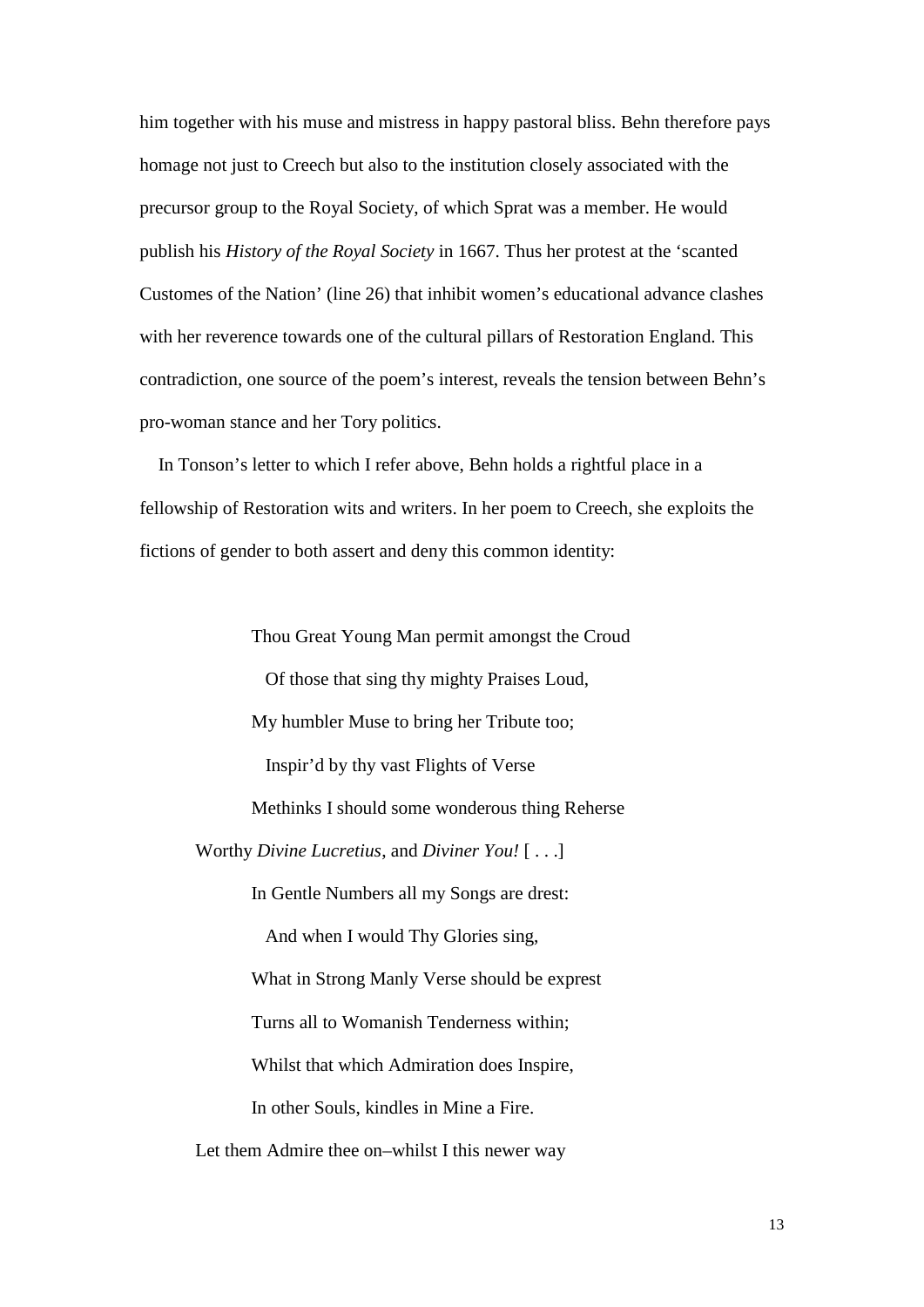him together with his muse and mistress in happy pastoral bliss. Behn therefore pays homage not just to Creech but also to the institution closely associated with the precursor group to the Royal Society, of which Sprat was a member. He would publish his *History of the Royal Society* in 1667. Thus her protest at the 'scanted Customes of the Nation' (line 26) that inhibit women's educational advance clashes with her reverence towards one of the cultural pillars of Restoration England. This contradiction, one source of the poem's interest, reveals the tension between Behn's pro-woman stance and her Tory politics.

 In Tonson's letter to which I refer above, Behn holds a rightful place in a fellowship of Restoration wits and writers. In her poem to Creech, she exploits the fictions of gender to both assert and deny this common identity:

Thou Great Young Man permit amongst the Croud Of those that sing thy mighty Praises Loud, My humbler Muse to bring her Tribute too; Inspir'd by thy vast Flights of Verse Methinks I should some wonderous thing Reherse Worthy *Divine Lucretius*, and *Diviner You!* [ . . .] In Gentle Numbers all my Songs are drest: And when I would Thy Glories sing, What in Strong Manly Verse should be exprest Turns all to Womanish Tenderness within; Whilst that which Admiration does Inspire, In other Souls, kindles in Mine a Fire.

Let them Admire thee on–whilst I this newer way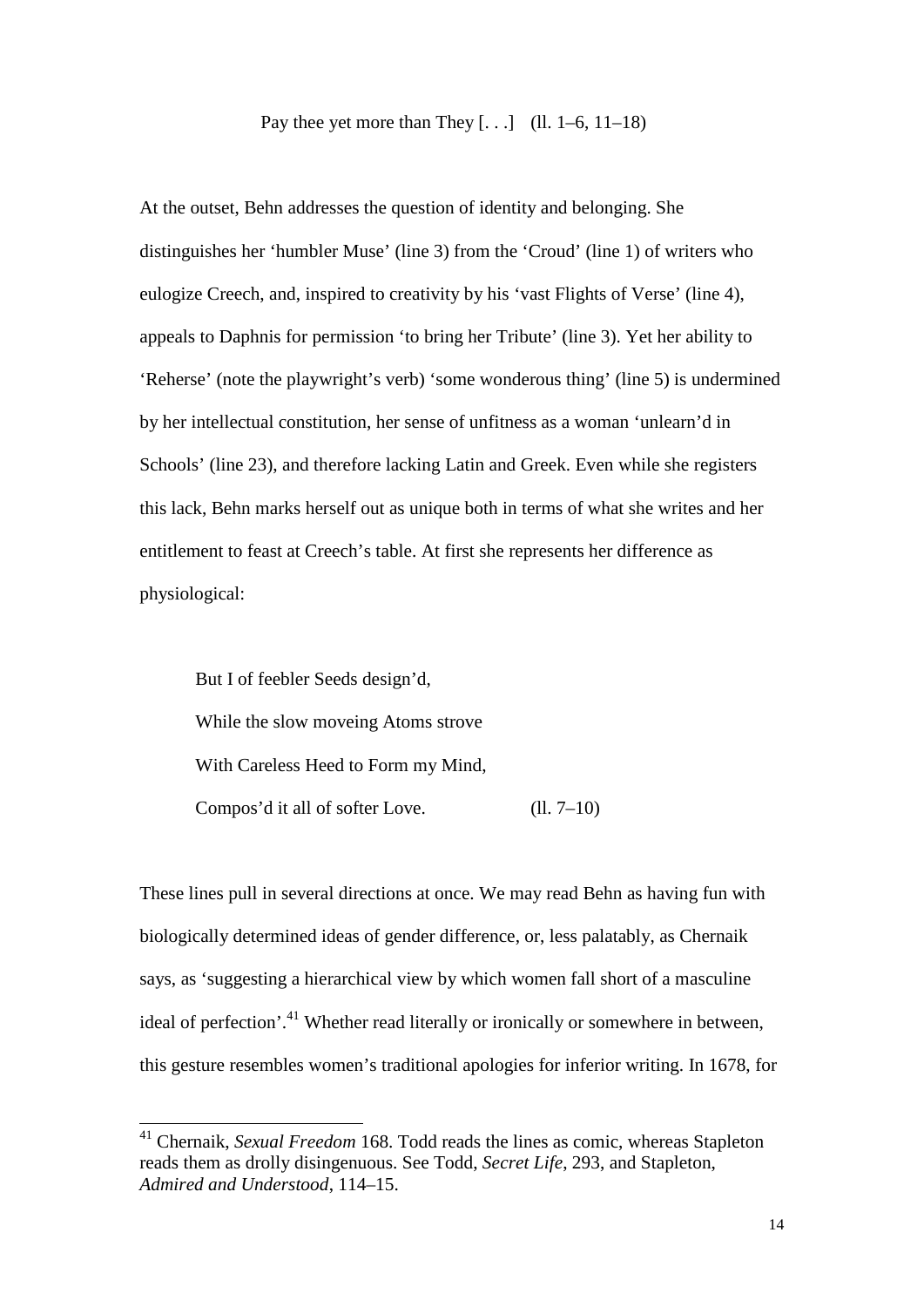Pay thee yet more than They  $[\ldots]$  (ll. 1–6, 11–18)

At the outset, Behn addresses the question of identity and belonging. She distinguishes her 'humbler Muse' (line 3) from the 'Croud' (line 1) of writers who eulogize Creech, and, inspired to creativity by his 'vast Flights of Verse' (line 4), appeals to Daphnis for permission 'to bring her Tribute' (line 3). Yet her ability to 'Reherse' (note the playwright's verb) 'some wonderous thing' (line 5) is undermined by her intellectual constitution, her sense of unfitness as a woman 'unlearn'd in Schools' (line 23), and therefore lacking Latin and Greek. Even while she registers this lack, Behn marks herself out as unique both in terms of what she writes and her entitlement to feast at Creech's table. At first she represents her difference as physiological:

But I of feebler Seeds design'd, While the slow moveing Atoms strove With Careless Heed to Form my Mind, Compos'd it all of softer Love. (ll. 7–10)

These lines pull in several directions at once. We may read Behn as having fun with biologically determined ideas of gender difference, or, less palatably, as Chernaik says, as 'suggesting a hierarchical view by which women fall short of a masculine ideal of perfection'.<sup>41</sup> Whether read literally or ironically or somewhere in between, this gesture resembles women's traditional apologies for inferior writing. In 1678, for

<sup>41</sup> Chernaik, *Sexual Freedom* 168. Todd reads the lines as comic, whereas Stapleton reads them as drolly disingenuous. See Todd, *Secret Life*, 293, and Stapleton, *Admired and Understood*, 114–15.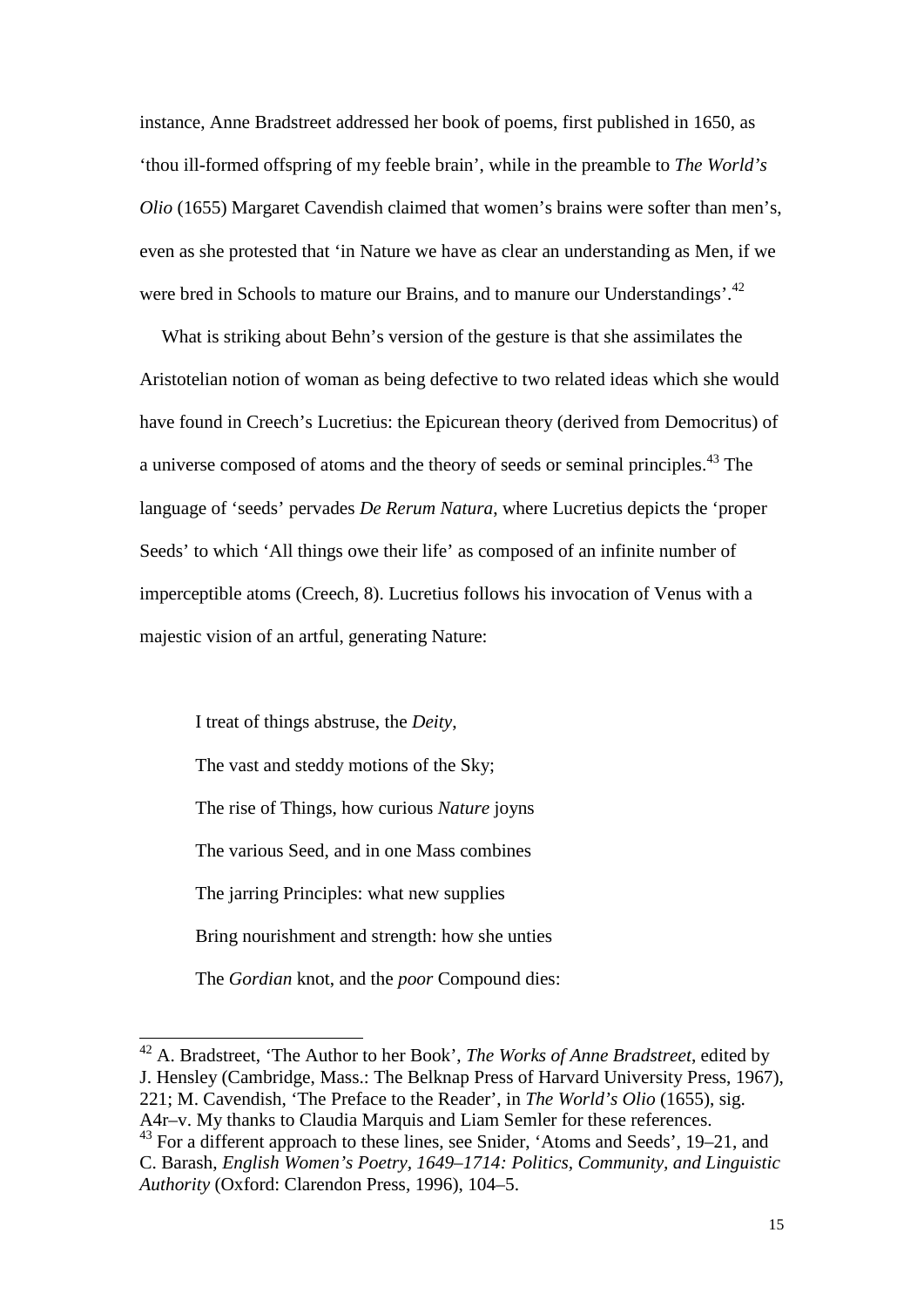instance, Anne Bradstreet addressed her book of poems, first published in 1650, as 'thou ill-formed offspring of my feeble brain', while in the preamble to *The World's Olio* (1655) Margaret Cavendish claimed that women's brains were softer than men's, even as she protested that 'in Nature we have as clear an understanding as Men, if we were bred in Schools to mature our Brains, and to manure our Understandings'.<sup>42</sup>

What is striking about Behn's version of the gesture is that she assimilates the Aristotelian notion of woman as being defective to two related ideas which she would have found in Creech's Lucretius: the Epicurean theory (derived from Democritus) of a universe composed of atoms and the theory of seeds or seminal principles.<sup>43</sup> The language of 'seeds' pervades *De Rerum Natura*, where Lucretius depicts the 'proper Seeds' to which 'All things owe their life' as composed of an infinite number of imperceptible atoms (Creech, 8). Lucretius follows his invocation of Venus with a majestic vision of an artful, generating Nature:

I treat of things abstruse, the *Deity*, The vast and steddy motions of the Sky; The rise of Things, how curious *Nature* joyns The various Seed, and in one Mass combines The jarring Principles: what new supplies Bring nourishment and strength: how she unties The *Gordian* knot, and the *poor* Compound dies:

-

<sup>42</sup> A. Bradstreet, 'The Author to her Book', *The Works of Anne Bradstreet*, edited by J. Hensley (Cambridge, Mass.: The Belknap Press of Harvard University Press, 1967), 221; M. Cavendish, 'The Preface to the Reader', in *The World's Olio* (1655), sig. A4r–v. My thanks to Claudia Marquis and Liam Semler for these references.

<sup>43</sup> For a different approach to these lines, see Snider, 'Atoms and Seeds', 19–21, and C. Barash, *English Women's Poetry, 1649–1714: Politics, Community, and Linguistic Authority* (Oxford: Clarendon Press, 1996), 104–5.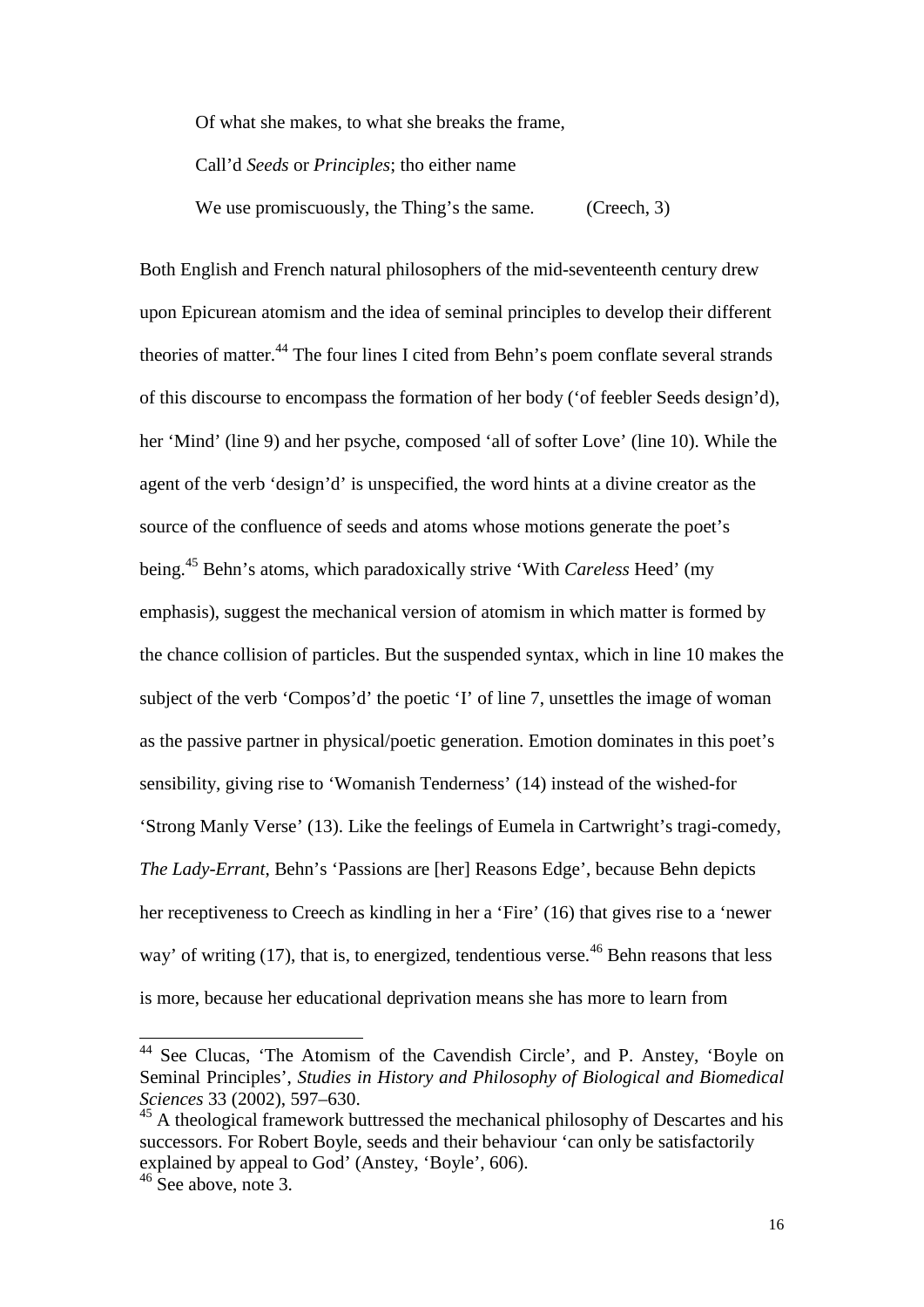Of what she makes, to what she breaks the frame,

Call'd *Seeds* or *Principles*; tho either name

We use promiscuously, the Thing's the same. (Creech, 3)

Both English and French natural philosophers of the mid-seventeenth century drew upon Epicurean atomism and the idea of seminal principles to develop their different theories of matter.<sup>44</sup> The four lines I cited from Behn's poem conflate several strands of this discourse to encompass the formation of her body ('of feebler Seeds design'd), her 'Mind' (line 9) and her psyche, composed 'all of softer Love' (line 10). While the agent of the verb 'design'd' is unspecified, the word hints at a divine creator as the source of the confluence of seeds and atoms whose motions generate the poet's being.<sup>45</sup> Behn's atoms, which paradoxically strive 'With *Careless* Heed' (my emphasis), suggest the mechanical version of atomism in which matter is formed by the chance collision of particles. But the suspended syntax, which in line 10 makes the subject of the verb 'Compos'd' the poetic 'I' of line 7, unsettles the image of woman as the passive partner in physical/poetic generation. Emotion dominates in this poet's sensibility, giving rise to 'Womanish Tenderness' (14) instead of the wished-for 'Strong Manly Verse' (13). Like the feelings of Eumela in Cartwright's tragi-comedy, *The Lady-Errant*, Behn's 'Passions are [her] Reasons Edge', because Behn depicts her receptiveness to Creech as kindling in her a 'Fire' (16) that gives rise to a 'newer way' of writing  $(17)$ , that is, to energized, tendentious verse.<sup>46</sup> Behn reasons that less is more, because her educational deprivation means she has more to learn from

<sup>&</sup>lt;sup>44</sup> See Clucas, 'The Atomism of the Cavendish Circle', and P. Anstey, 'Boyle on Seminal Principles', *Studies in History and Philosophy of Biological and Biomedical Sciences* 33 (2002), 597–630.

<sup>&</sup>lt;sup>45</sup> A theological framework buttressed the mechanical philosophy of Descartes and his successors. For Robert Boyle, seeds and their behaviour 'can only be satisfactorily explained by appeal to God' (Anstey, 'Boyle', 606).

 $46$  See above, note 3.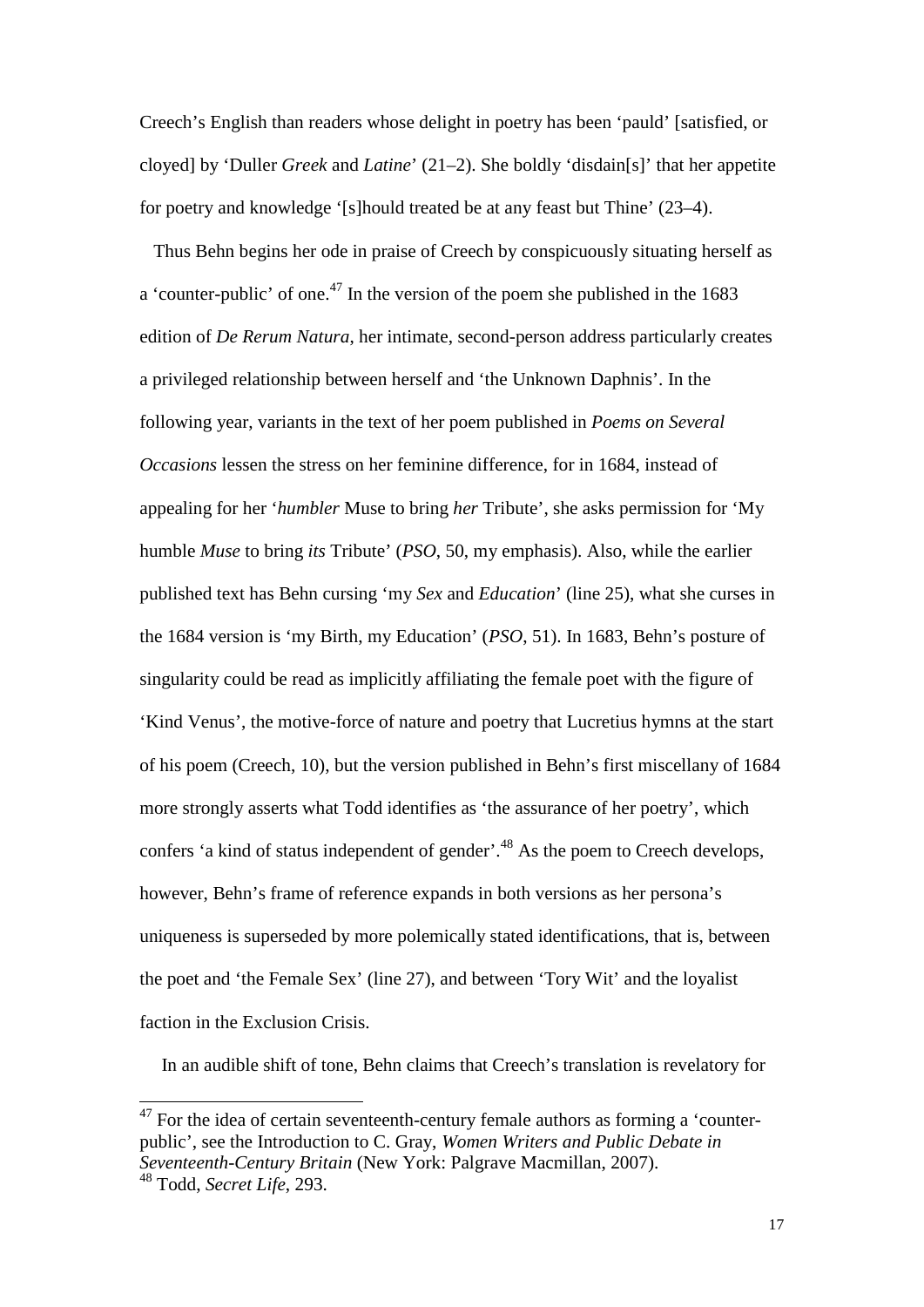Creech's English than readers whose delight in poetry has been 'pauld' [satisfied, or cloyed] by 'Duller *Greek* and *Latine*' (21–2). She boldly 'disdain[s]' that her appetite for poetry and knowledge '[s]hould treated be at any feast but Thine' (23–4).

 Thus Behn begins her ode in praise of Creech by conspicuously situating herself as a 'counter-public' of one.<sup>47</sup> In the version of the poem she published in the  $1683$ edition of *De Rerum Natura*, her intimate, second-person address particularly creates a privileged relationship between herself and 'the Unknown Daphnis'. In the following year, variants in the text of her poem published in *Poems on Several Occasions* lessen the stress on her feminine difference, for in 1684, instead of appealing for her '*humbler* Muse to bring *her* Tribute', she asks permission for 'My humble *Muse* to bring *its* Tribute' (*PSO*, 50, my emphasis). Also, while the earlier published text has Behn cursing 'my *Sex* and *Education*' (line 25), what she curses in the 1684 version is 'my Birth, my Education' (*PSO*, 51). In 1683, Behn's posture of singularity could be read as implicitly affiliating the female poet with the figure of 'Kind Venus', the motive-force of nature and poetry that Lucretius hymns at the start of his poem (Creech, 10), but the version published in Behn's first miscellany of 1684 more strongly asserts what Todd identifies as 'the assurance of her poetry', which confers 'a kind of status independent of gender'.<sup>48</sup> As the poem to Creech develops, however, Behn's frame of reference expands in both versions as her persona's uniqueness is superseded by more polemically stated identifications, that is, between the poet and 'the Female Sex' (line 27), and between 'Tory Wit' and the loyalist faction in the Exclusion Crisis.

In an audible shift of tone, Behn claims that Creech's translation is revelatory for

 $47$  For the idea of certain seventeenth-century female authors as forming a 'counterpublic', see the Introduction to C. Gray, *Women Writers and Public Debate in Seventeenth-Century Britain* (New York: Palgrave Macmillan, 2007).

<sup>48</sup> Todd, *Secret Life*, 293.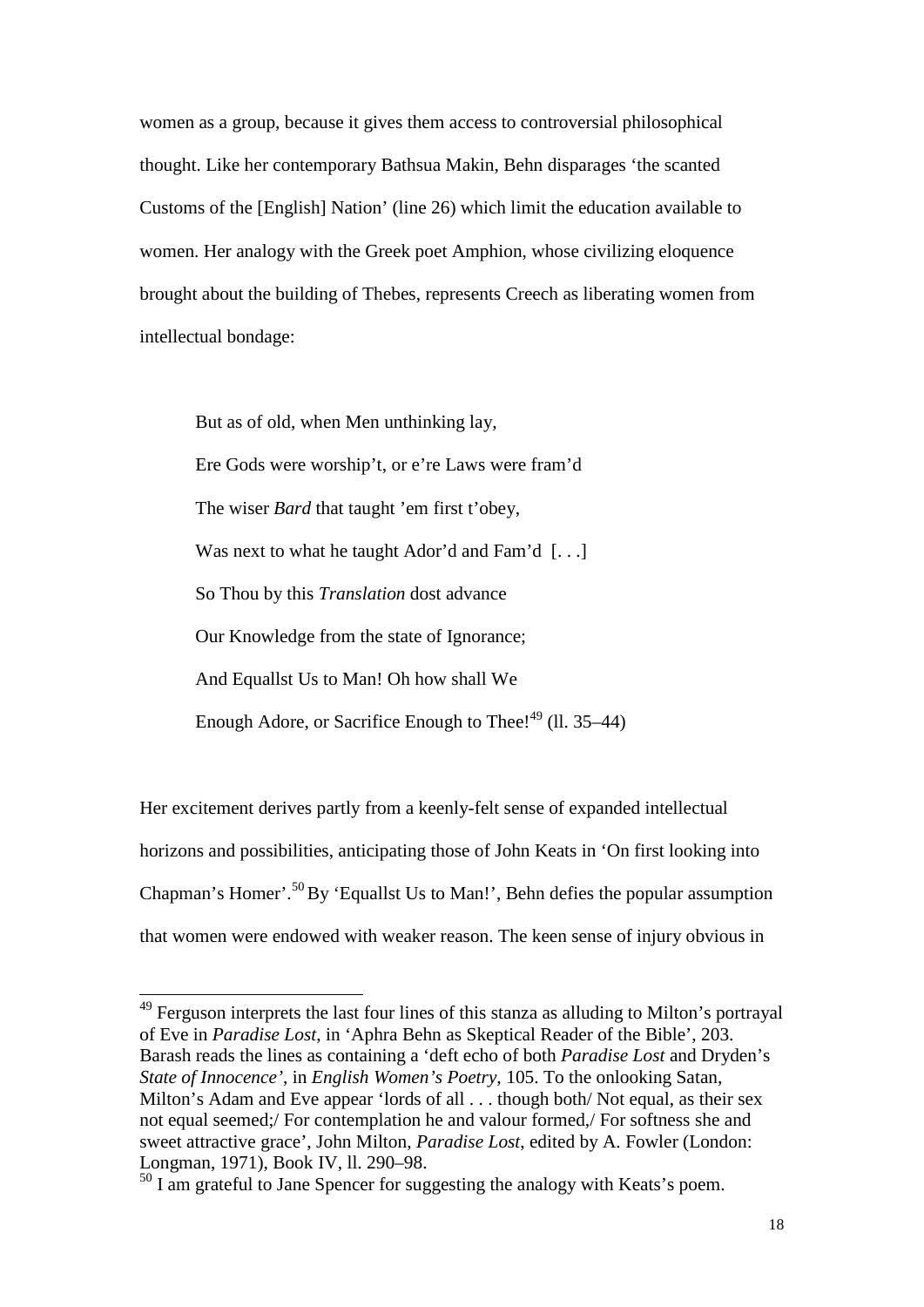women as a group, because it gives them access to controversial philosophical thought. Like her contemporary Bathsua Makin, Behn disparages 'the scanted Customs of the [English] Nation' (line 26) which limit the education available to women. Her analogy with the Greek poet Amphion, whose civilizing eloquence brought about the building of Thebes, represents Creech as liberating women from intellectual bondage:

But as of old, when Men unthinking lay, Ere Gods were worship't, or e're Laws were fram'd The wiser *Bard* that taught 'em first t'obey, Was next to what he taught Ador'd and Fam'd [...] So Thou by this *Translation* dost advance Our Knowledge from the state of Ignorance; And Equallst Us to Man! Oh how shall We Enough Adore, or Sacrifice Enough to Thee! $49$  (ll. 35–44)

Her excitement derives partly from a keenly-felt sense of expanded intellectual horizons and possibilities, anticipating those of John Keats in 'On first looking into Chapman's Homer'.<sup>50</sup>By 'Equallst Us to Man!', Behn defies the popular assumption that women were endowed with weaker reason. The keen sense of injury obvious in

<sup>&</sup>lt;sup>49</sup> Ferguson interprets the last four lines of this stanza as alluding to Milton's portrayal of Eve in *Paradise Lost*, in 'Aphra Behn as Skeptical Reader of the Bible', 203. Barash reads the lines as containing a 'deft echo of both *Paradise Lost* and Dryden's *State of Innocence'*, in *English Women's Poetry,* 105. To the onlooking Satan, Milton's Adam and Eve appear 'lords of all . . . though both/ Not equal, as their sex not equal seemed;/ For contemplation he and valour formed,/ For softness she and sweet attractive grace', John Milton, *Paradise Lost*, edited by A. Fowler (London: Longman, 1971), Book IV, ll. 290–98. -

 $50$  I am grateful to Jane Spencer for suggesting the analogy with Keats's poem.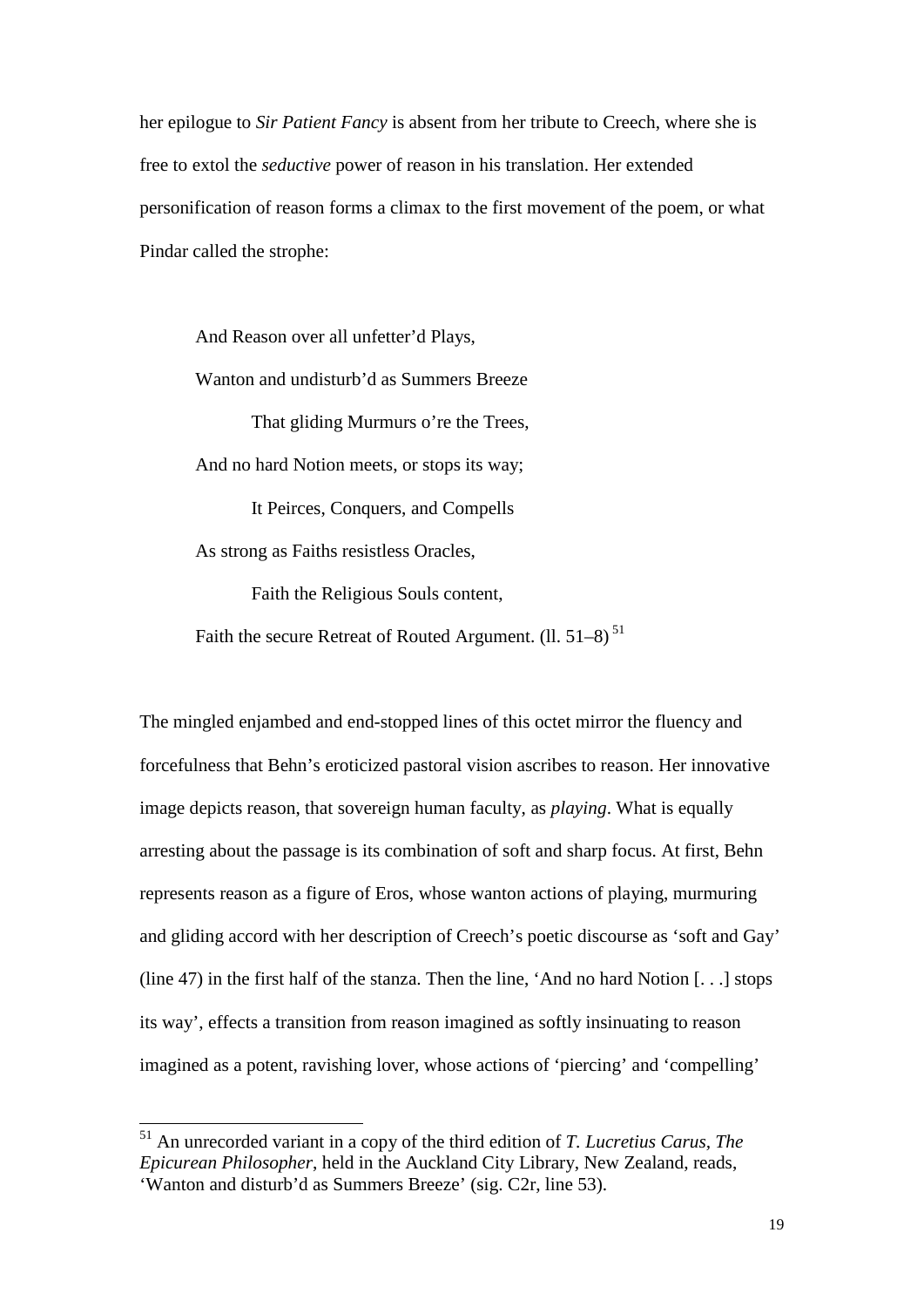her epilogue to *Sir Patient Fancy* is absent from her tribute to Creech, where she is free to extol the *seductive* power of reason in his translation. Her extended personification of reason forms a climax to the first movement of the poem, or what Pindar called the strophe:

And Reason over all unfetter'd Plays, Wanton and undisturb'd as Summers Breeze That gliding Murmurs o're the Trees, And no hard Notion meets, or stops its way; It Peirces, Conquers, and Compells As strong as Faiths resistless Oracles, Faith the Religious Souls content,

Faith the secure Retreat of Routed Argument.  $(11.51-8)^{51}$ 

The mingled enjambed and end-stopped lines of this octet mirror the fluency and forcefulness that Behn's eroticized pastoral vision ascribes to reason. Her innovative image depicts reason, that sovereign human faculty, as *playing*. What is equally arresting about the passage is its combination of soft and sharp focus. At first, Behn represents reason as a figure of Eros, whose wanton actions of playing, murmuring and gliding accord with her description of Creech's poetic discourse as 'soft and Gay' (line 47) in the first half of the stanza. Then the line, 'And no hard Notion  $[\ldots]$  stops its way', effects a transition from reason imagined as softly insinuating to reason imagined as a potent, ravishing lover, whose actions of 'piercing' and 'compelling'

<sup>51</sup> An unrecorded variant in a copy of the third edition of *T. Lucretius Carus, The Epicurean Philosopher*, held in the Auckland City Library, New Zealand, reads, 'Wanton and disturb'd as Summers Breeze' (sig. C2r, line 53).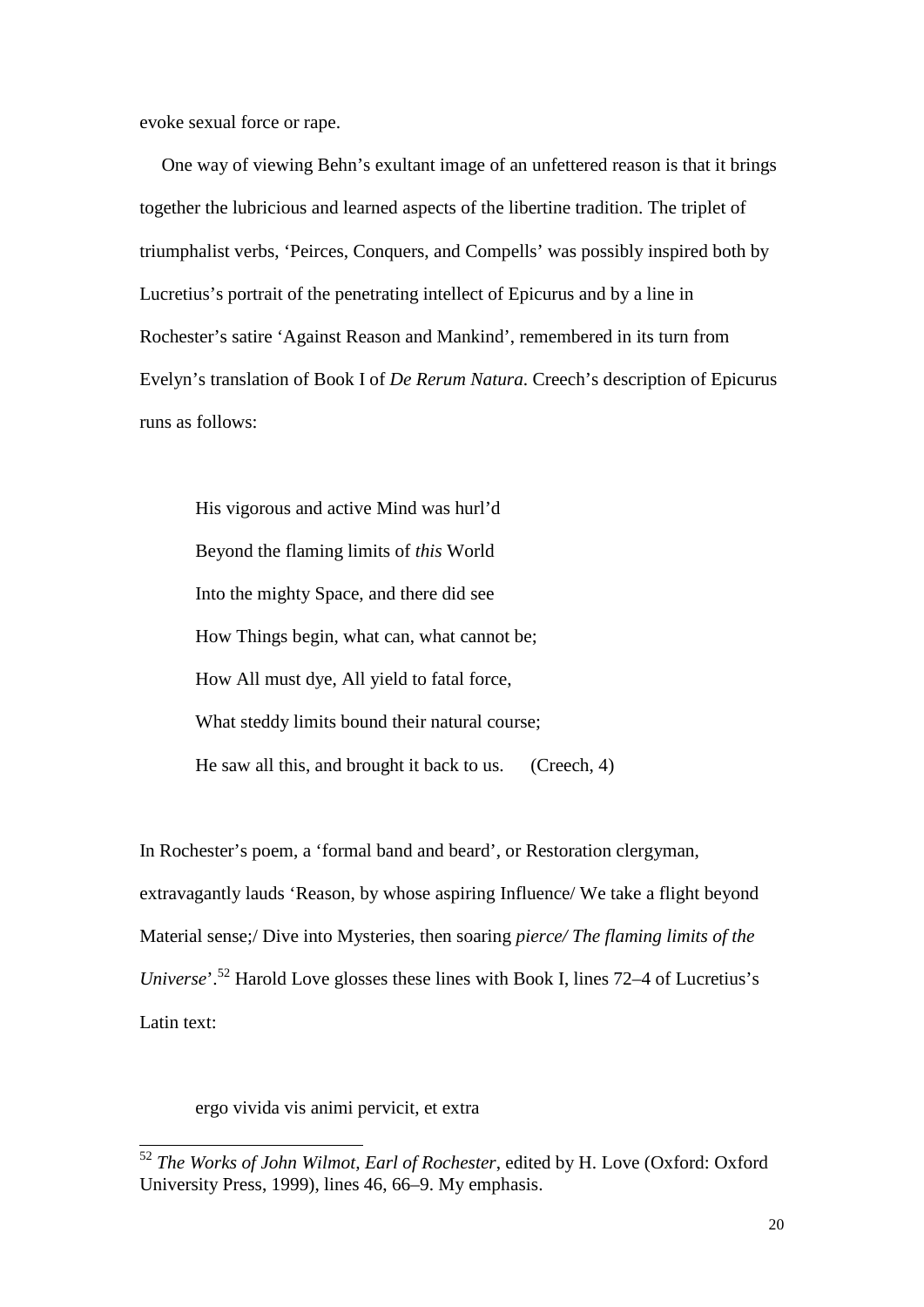evoke sexual force or rape.

One way of viewing Behn's exultant image of an unfettered reason is that it brings together the lubricious and learned aspects of the libertine tradition. The triplet of triumphalist verbs, 'Peirces, Conquers, and Compells' was possibly inspired both by Lucretius's portrait of the penetrating intellect of Epicurus and by a line in Rochester's satire 'Against Reason and Mankind', remembered in its turn from Evelyn's translation of Book I of *De Rerum Natura*. Creech's description of Epicurus runs as follows:

His vigorous and active Mind was hurl'd Beyond the flaming limits of *this* World Into the mighty Space, and there did see How Things begin, what can, what cannot be; How All must dye, All yield to fatal force, What steddy limits bound their natural course; He saw all this, and brought it back to us. (Creech, 4)

In Rochester's poem, a 'formal band and beard', or Restoration clergyman, extravagantly lauds 'Reason, by whose aspiring Influence/ We take a flight beyond Material sense;/ Dive into Mysteries, then soaring *pierce/ The flaming limits of the Universe*'.<sup>52</sup> Harold Love glosses these lines with Book I, lines 72–4 of Lucretius's Latin text:

ergo vivida vis animi pervicit, et extra

<sup>52</sup> *The Works of John Wilmot, Earl of Rochester*, edited by H. Love (Oxford: Oxford University Press, 1999), lines 46, 66–9. My emphasis.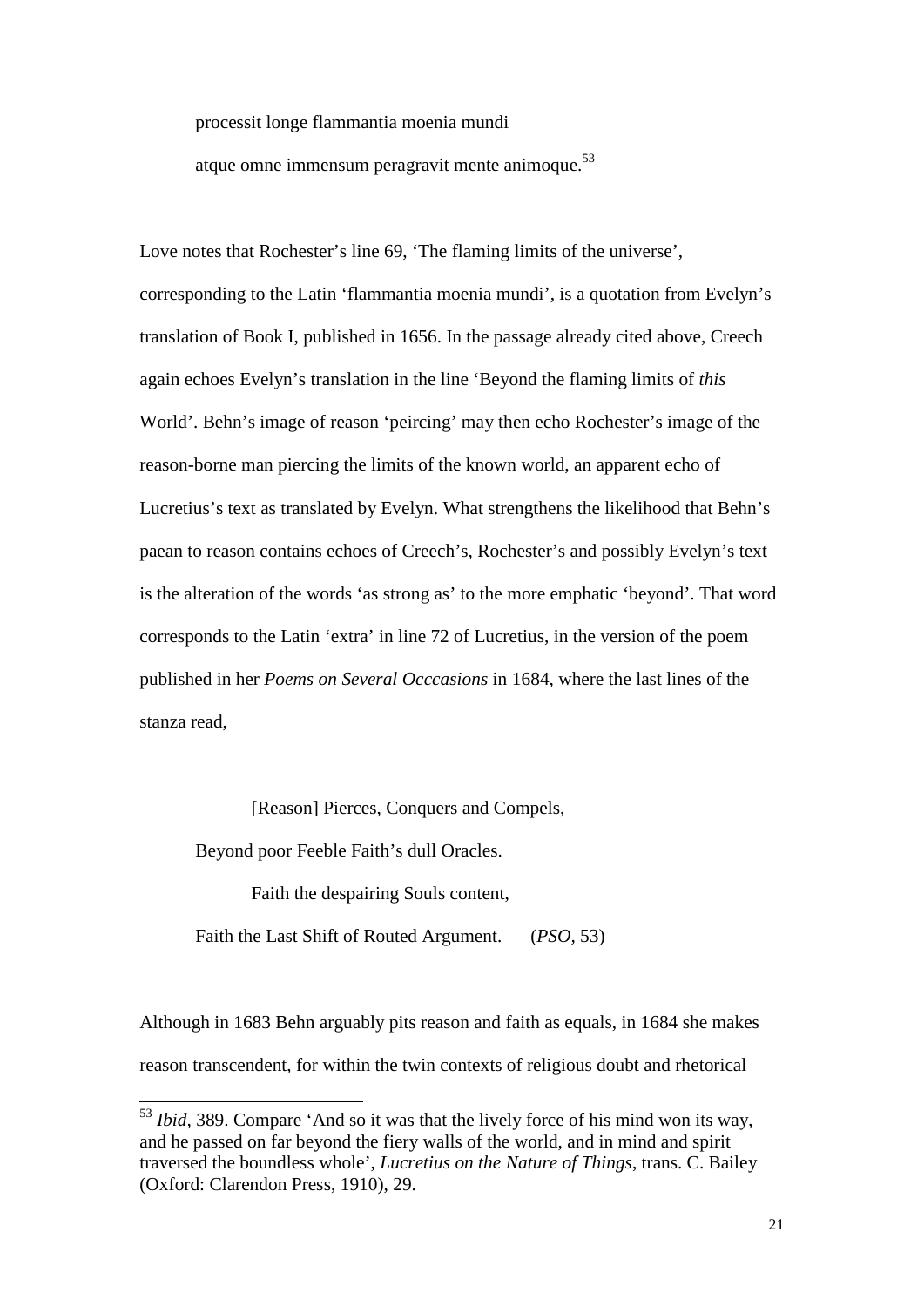processit longe flammantia moenia mundi

atque omne immensum peragravit mente animoque. $53$ 

Love notes that Rochester's line 69, 'The flaming limits of the universe', corresponding to the Latin 'flammantia moenia mundi', is a quotation from Evelyn's translation of Book I, published in 1656. In the passage already cited above, Creech again echoes Evelyn's translation in the line 'Beyond the flaming limits of *this* World'. Behn's image of reason 'peircing' may then echo Rochester's image of the reason-borne man piercing the limits of the known world, an apparent echo of Lucretius's text as translated by Evelyn. What strengthens the likelihood that Behn's paean to reason contains echoes of Creech's, Rochester's and possibly Evelyn's text is the alteration of the words 'as strong as' to the more emphatic 'beyond'. That word corresponds to the Latin 'extra' in line 72 of Lucretius, in the version of the poem published in her *Poems on Several Occcasions* in 1684, where the last lines of the stanza read,

[Reason] Pierces, Conquers and Compels,

Beyond poor Feeble Faith's dull Oracles.

-

Faith the despairing Souls content,

Faith the Last Shift of Routed Argument. (*PSO,* 53)

Although in 1683 Behn arguably pits reason and faith as equals, in 1684 she makes reason transcendent, for within the twin contexts of religious doubt and rhetorical

<sup>53</sup> *Ibid,* 389. Compare 'And so it was that the lively force of his mind won its way, and he passed on far beyond the fiery walls of the world, and in mind and spirit traversed the boundless whole', *Lucretius on the Nature of Things*, trans. C. Bailey (Oxford: Clarendon Press, 1910), 29.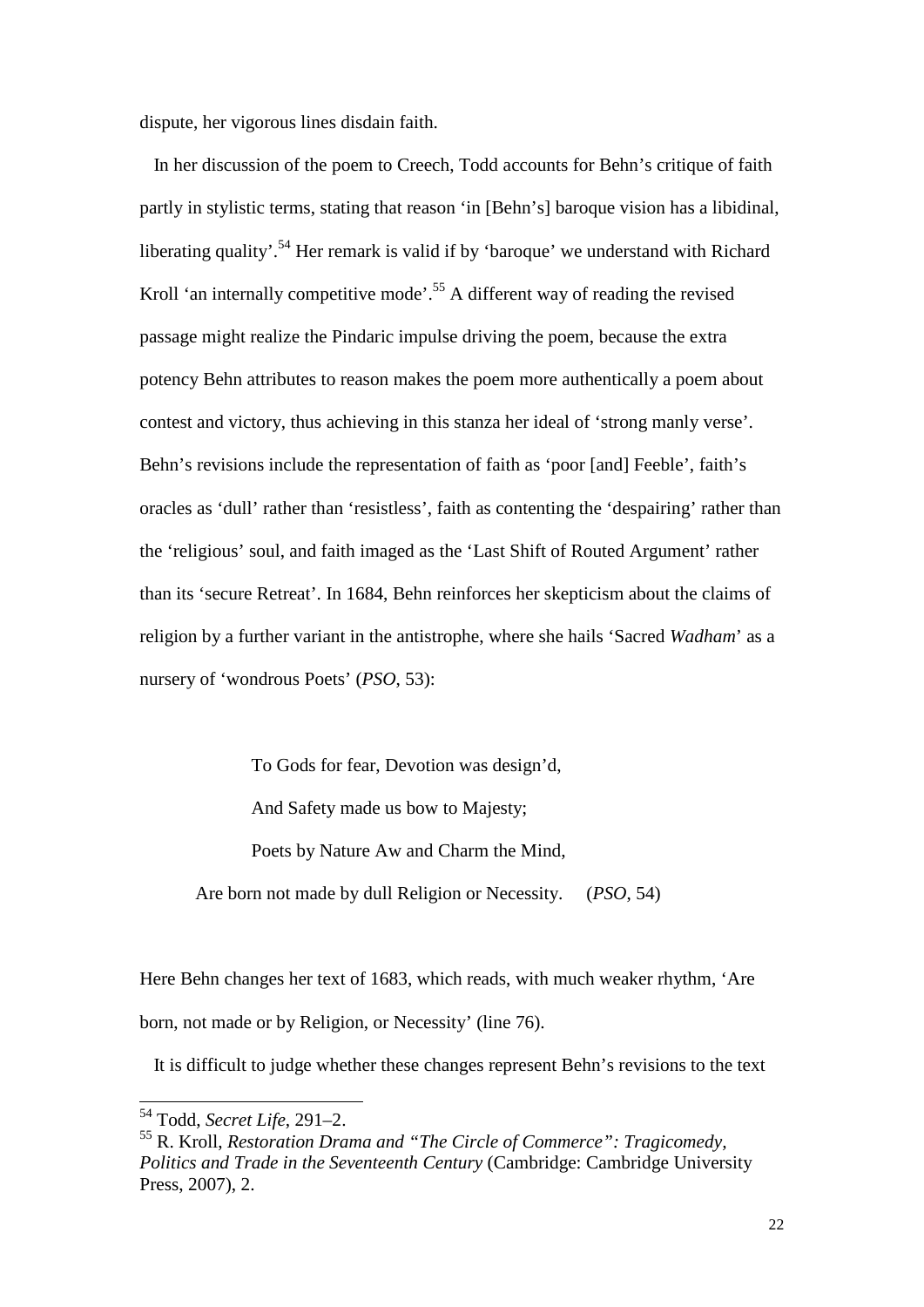dispute, her vigorous lines disdain faith.

 In her discussion of the poem to Creech, Todd accounts for Behn's critique of faith partly in stylistic terms, stating that reason 'in [Behn's] baroque vision has a libidinal, liberating quality'.<sup>54</sup> Her remark is valid if by 'baroque' we understand with Richard Kroll 'an internally competitive mode'.<sup>55</sup> A different way of reading the revised passage might realize the Pindaric impulse driving the poem, because the extra potency Behn attributes to reason makes the poem more authentically a poem about contest and victory, thus achieving in this stanza her ideal of 'strong manly verse'. Behn's revisions include the representation of faith as 'poor [and] Feeble', faith's oracles as 'dull' rather than 'resistless', faith as contenting the 'despairing' rather than the 'religious' soul, and faith imaged as the 'Last Shift of Routed Argument' rather than its 'secure Retreat'. In 1684, Behn reinforces her skepticism about the claims of religion by a further variant in the antistrophe, where she hails 'Sacred *Wadham*' as a nursery of 'wondrous Poets' (*PSO*, 53):

To Gods for fear, Devotion was design'd, And Safety made us bow to Majesty; Poets by Nature Aw and Charm the Mind, Are born not made by dull Religion or Necessity. (*PSO*, 54)

Here Behn changes her text of 1683, which reads, with much weaker rhythm, 'Are born, not made or by Religion, or Necessity' (line 76).

It is difficult to judge whether these changes represent Behn's revisions to the text

<sup>54</sup> Todd, *Secret Life*, 291–2.

<sup>55</sup> R. Kroll, *Restoration Drama and "The Circle of Commerce": Tragicomedy, Politics and Trade in the Seventeenth Century* (Cambridge: Cambridge University Press, 2007), 2.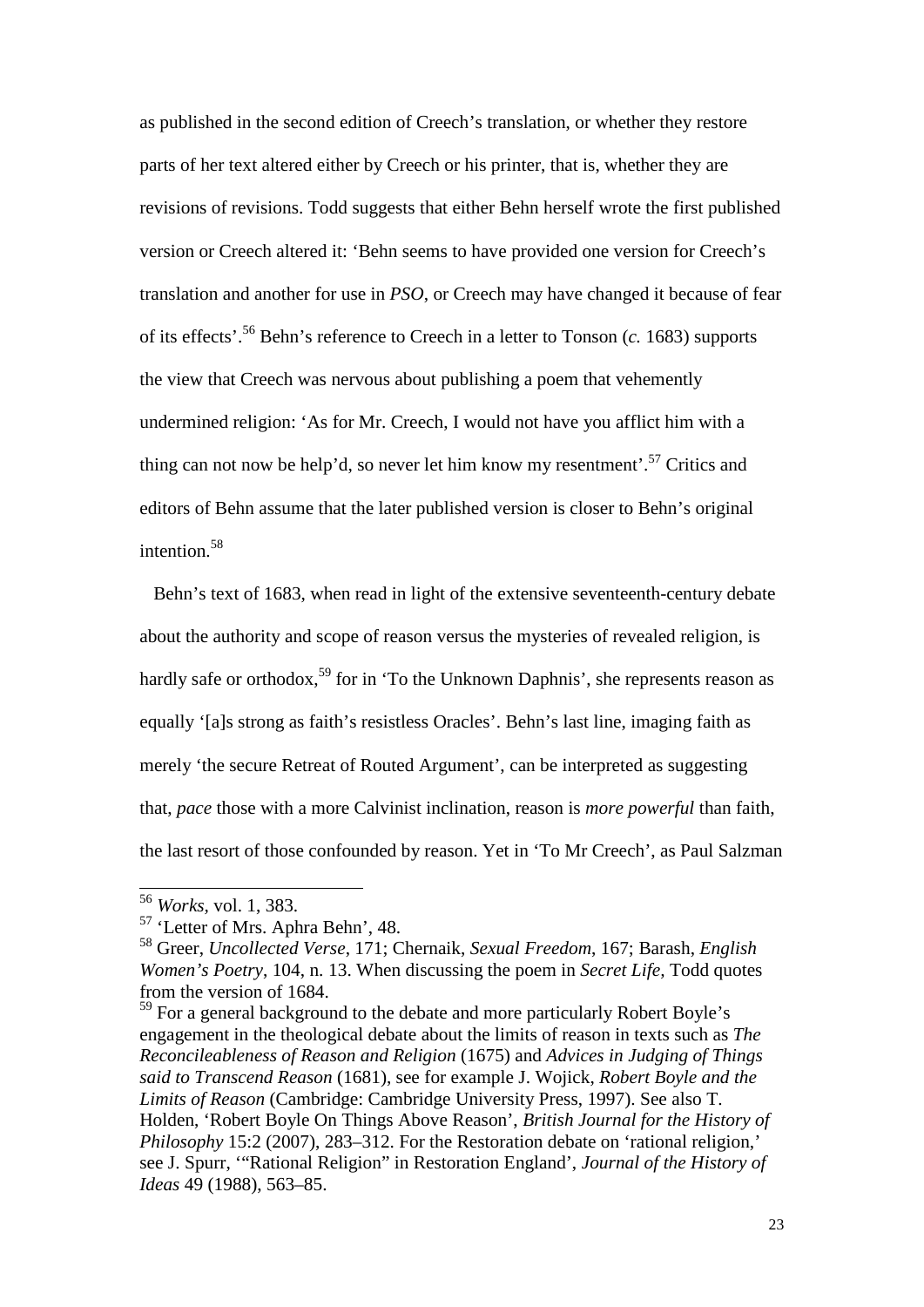as published in the second edition of Creech's translation, or whether they restore parts of her text altered either by Creech or his printer, that is, whether they are revisions of revisions. Todd suggests that either Behn herself wrote the first published version or Creech altered it: 'Behn seems to have provided one version for Creech's translation and another for use in *PSO*, or Creech may have changed it because of fear of its effects'.<sup>56</sup> Behn's reference to Creech in a letter to Tonson (*c.* 1683) supports the view that Creech was nervous about publishing a poem that vehemently undermined religion: 'As for Mr. Creech, I would not have you afflict him with a thing can not now be help'd, so never let him know my resentment'.<sup>57</sup> Critics and editors of Behn assume that the later published version is closer to Behn's original intention.<sup>58</sup>

 Behn's text of 1683, when read in light of the extensive seventeenth-century debate about the authority and scope of reason versus the mysteries of revealed religion, is hardly safe or orthodox,<sup>59</sup> for in 'To the Unknown Daphnis', she represents reason as equally '[a]s strong as faith's resistless Oracles'. Behn's last line, imaging faith as merely 'the secure Retreat of Routed Argument', can be interpreted as suggesting that, *pace* those with a more Calvinist inclination, reason is *more powerful* than faith, the last resort of those confounded by reason. Yet in 'To Mr Creech', as Paul Salzman

<sup>56</sup> *Works,* vol. 1, 383.

<sup>57</sup> 'Letter of Mrs. Aphra Behn', 48.

<sup>58</sup> Greer, *Uncollected Verse*, 171; Chernaik, *Sexual Freedom*, 167; Barash, *English Women's Poetry*, 104, n. 13. When discussing the poem in *Secret Life,* Todd quotes from the version of 1684.

<sup>&</sup>lt;sup>59</sup> For a general background to the debate and more particularly Robert Boyle's engagement in the theological debate about the limits of reason in texts such as *The Reconcileableness of Reason and Religion* (1675) and *Advices in Judging of Things said to Transcend Reason* (1681), see for example J. Wojick, *Robert Boyle and the Limits of Reason* (Cambridge: Cambridge University Press, 1997). See also T. Holden, 'Robert Boyle On Things Above Reason', *British Journal for the History of Philosophy* 15:2 (2007), 283–312. For the Restoration debate on 'rational religion,' see J. Spurr, '"Rational Religion" in Restoration England', *Journal of the History of Ideas* 49 (1988), 563–85.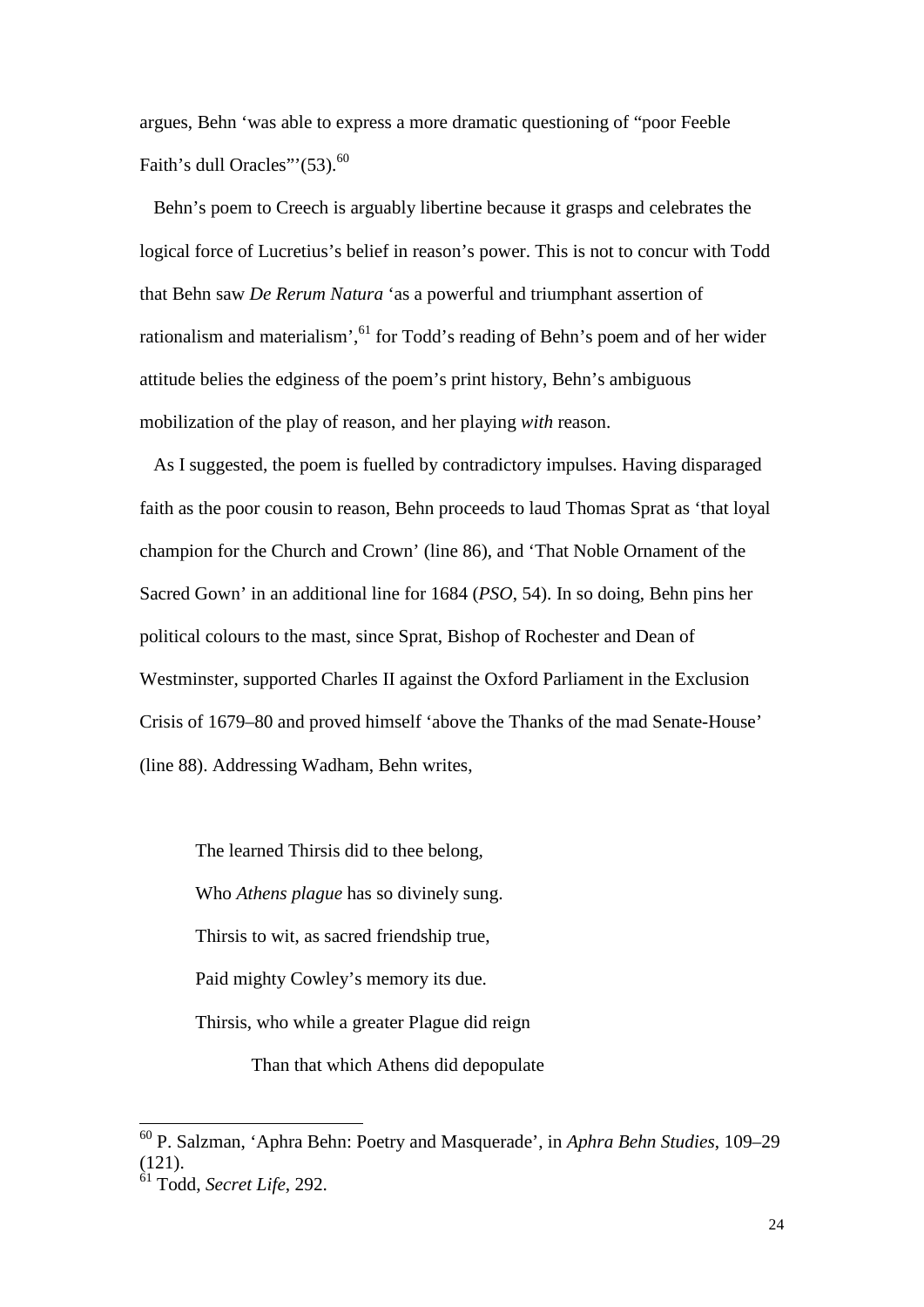argues, Behn 'was able to express a more dramatic questioning of "poor Feeble Faith's dull Oracles"' $(53)$ .<sup>60</sup>

 Behn's poem to Creech is arguably libertine because it grasps and celebrates the logical force of Lucretius's belief in reason's power. This is not to concur with Todd that Behn saw *De Rerum Natura* 'as a powerful and triumphant assertion of rationalism and materialism',<sup>61</sup> for Todd's reading of Behn's poem and of her wider attitude belies the edginess of the poem's print history, Behn's ambiguous mobilization of the play of reason, and her playing *with* reason.

 As I suggested, the poem is fuelled by contradictory impulses. Having disparaged faith as the poor cousin to reason, Behn proceeds to laud Thomas Sprat as 'that loyal champion for the Church and Crown' (line 86), and 'That Noble Ornament of the Sacred Gown' in an additional line for 1684 (*PSO*, 54). In so doing, Behn pins her political colours to the mast, since Sprat, Bishop of Rochester and Dean of Westminster, supported Charles II against the Oxford Parliament in the Exclusion Crisis of 1679–80 and proved himself 'above the Thanks of the mad Senate-House' (line 88). Addressing Wadham, Behn writes,

The learned Thirsis did to thee belong, Who *Athens plague* has so divinely sung. Thirsis to wit, as sacred friendship true, Paid mighty Cowley's memory its due. Thirsis, who while a greater Plague did reign Than that which Athens did depopulate

<sup>60</sup> P. Salzman, 'Aphra Behn: Poetry and Masquerade', in *Aphra Behn Studies*, 109–29 (121).

<sup>61</sup> Todd, *Secret Life*, 292.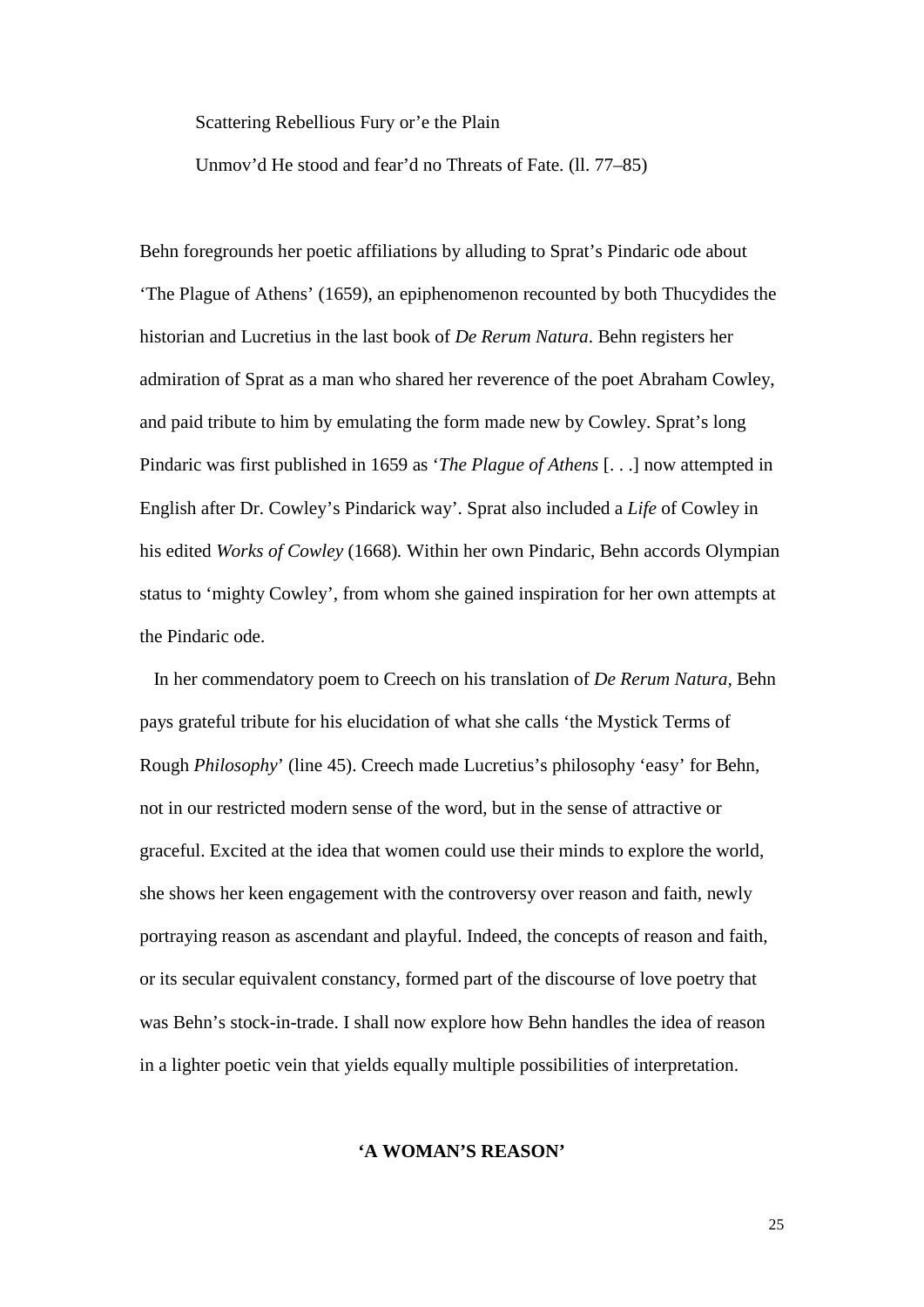Scattering Rebellious Fury or'e the Plain

Unmov'd He stood and fear'd no Threats of Fate. (ll. 77–85)

Behn foregrounds her poetic affiliations by alluding to Sprat's Pindaric ode about 'The Plague of Athens' (1659), an epiphenomenon recounted by both Thucydides the historian and Lucretius in the last book of *De Rerum Natura*. Behn registers her admiration of Sprat as a man who shared her reverence of the poet Abraham Cowley, and paid tribute to him by emulating the form made new by Cowley. Sprat's long Pindaric was first published in 1659 as '*The Plague of Athens* [. . .] now attempted in English after Dr. Cowley's Pindarick way'. Sprat also included a *Life* of Cowley in his edited *Works of Cowley* (1668)*.* Within her own Pindaric, Behn accords Olympian status to 'mighty Cowley', from whom she gained inspiration for her own attempts at the Pindaric ode.

 In her commendatory poem to Creech on his translation of *De Rerum Natura,* Behn pays grateful tribute for his elucidation of what she calls 'the Mystick Terms of Rough *Philosophy*' (line 45). Creech made Lucretius's philosophy 'easy' for Behn, not in our restricted modern sense of the word, but in the sense of attractive or graceful. Excited at the idea that women could use their minds to explore the world, she shows her keen engagement with the controversy over reason and faith, newly portraying reason as ascendant and playful. Indeed, the concepts of reason and faith, or its secular equivalent constancy, formed part of the discourse of love poetry that was Behn's stock-in-trade. I shall now explore how Behn handles the idea of reason in a lighter poetic vein that yields equally multiple possibilities of interpretation.

#### **'A WOMAN'S REASON'**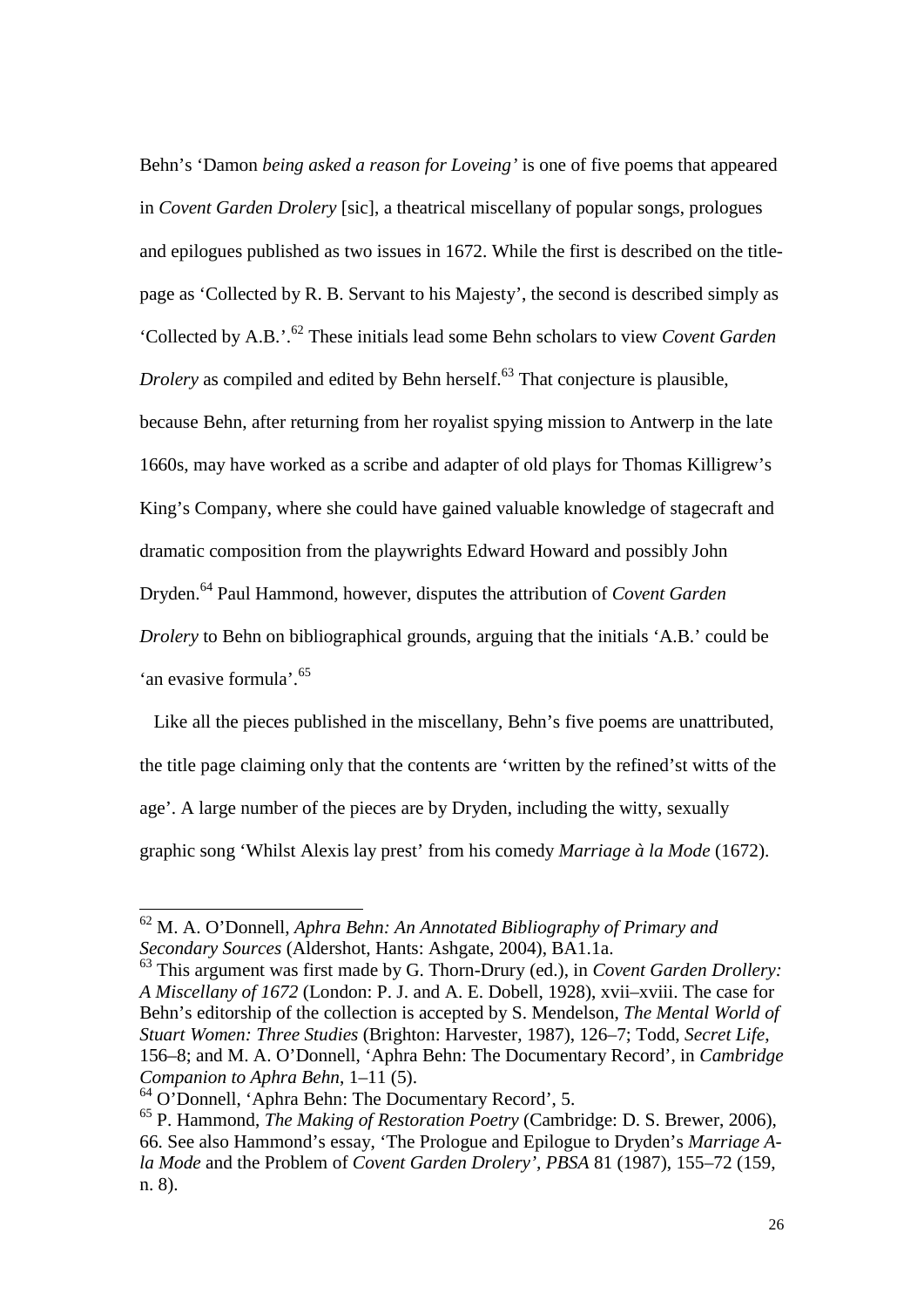Behn's 'Damon *being asked a reason for Loveing'* is one of five poems that appeared in *Covent Garden Drolery* [sic], a theatrical miscellany of popular songs, prologues and epilogues published as two issues in 1672. While the first is described on the titlepage as 'Collected by R. B. Servant to his Majesty', the second is described simply as 'Collected by A.B.'.<sup>62</sup> These initials lead some Behn scholars to view *Covent Garden Drolery* as compiled and edited by Behn herself.<sup>63</sup> That conjecture is plausible, because Behn, after returning from her royalist spying mission to Antwerp in the late 1660s, may have worked as a scribe and adapter of old plays for Thomas Killigrew's King's Company, where she could have gained valuable knowledge of stagecraft and dramatic composition from the playwrights Edward Howard and possibly John Dryden.<sup>64</sup> Paul Hammond, however, disputes the attribution of *Covent Garden Drolery* to Behn on bibliographical grounds, arguing that the initials 'A.B.' could be 'an evasive formula'.<sup>65</sup>

 Like all the pieces published in the miscellany, Behn's five poems are unattributed, the title page claiming only that the contents are 'written by the refined'st witts of the age'. A large number of the pieces are by Dryden, including the witty, sexually graphic song 'Whilst Alexis lay prest' from his comedy *Marriage à la Mode* (1672).

<sup>62</sup> M. A. O'Donnell, *Aphra Behn: An Annotated Bibliography of Primary and Secondary Sources* (Aldershot, Hants: Ashgate, 2004), BA1.1a.

<sup>63</sup> This argument was first made by G. Thorn-Drury (ed.), in *Covent Garden Drollery: A Miscellany of 1672* (London: P. J. and A. E. Dobell, 1928), xvii–xviii. The case for Behn's editorship of the collection is accepted by S. Mendelson, *The Mental World of Stuart Women: Three Studies* (Brighton: Harvester, 1987), 126–7; Todd, *Secret Life*, 156–8; and M. A. O'Donnell, 'Aphra Behn: The Documentary Record', in *Cambridge Companion to Aphra Behn*, 1–11 (5).

<sup>64</sup> O'Donnell, 'Aphra Behn: The Documentary Record', 5.

<sup>65</sup> P. Hammond, *The Making of Restoration Poetry* (Cambridge: D. S. Brewer, 2006), 66. See also Hammond's essay, 'The Prologue and Epilogue to Dryden's *Marriage Ala Mode* and the Problem of *Covent Garden Drolery', PBSA* 81 (1987), 155–72 (159, n. 8).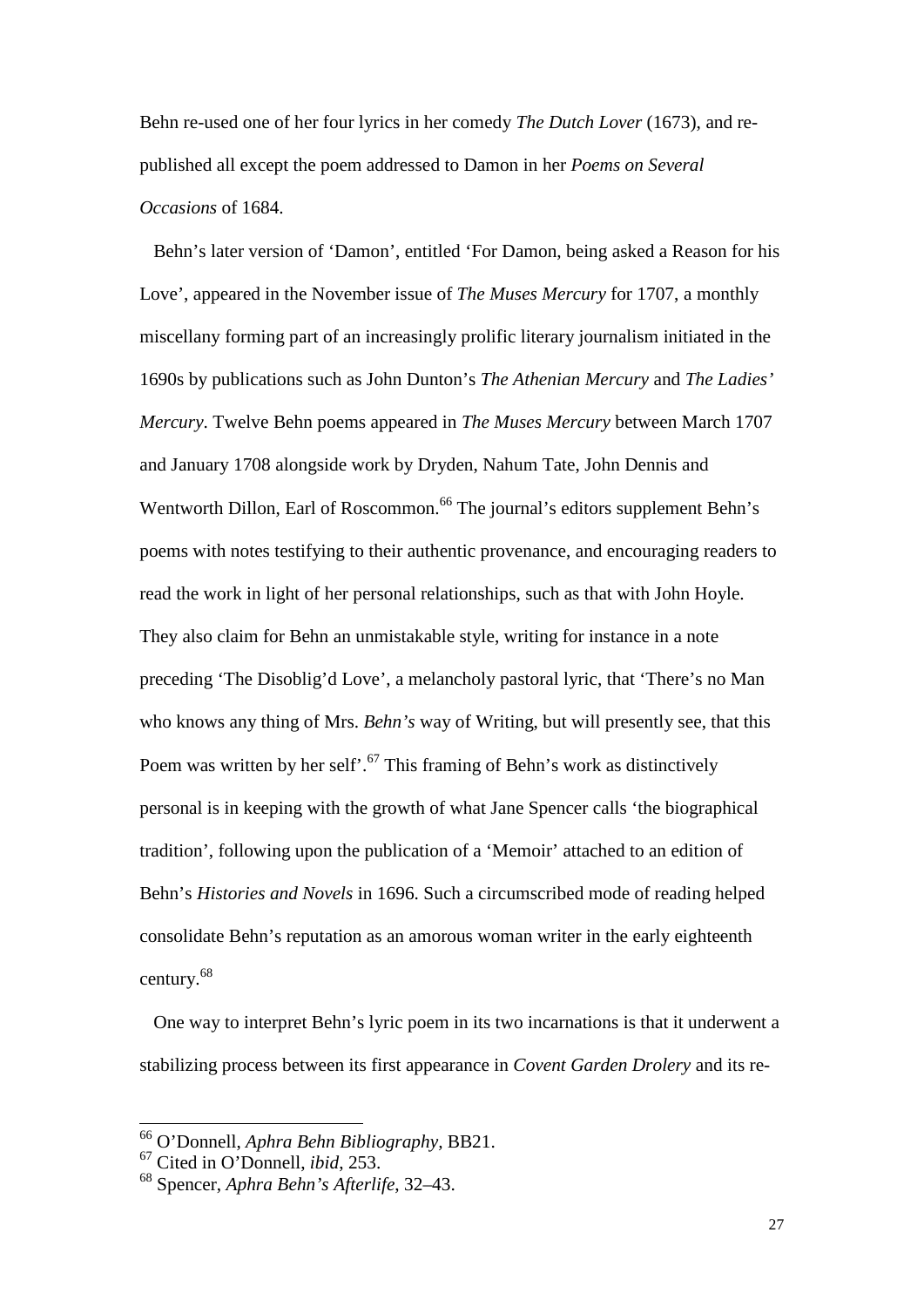Behn re-used one of her four lyrics in her comedy *The Dutch Lover* (1673), and republished all except the poem addressed to Damon in her *Poems on Several Occasions* of 1684.

 Behn's later version of 'Damon', entitled 'For Damon, being asked a Reason for his Love', appeared in the November issue of *The Muses Mercury* for 1707, a monthly miscellany forming part of an increasingly prolific literary journalism initiated in the 1690s by publications such as John Dunton's *The Athenian Mercury* and *The Ladies' Mercury*. Twelve Behn poems appeared in *The Muses Mercury* between March 1707 and January 1708 alongside work by Dryden, Nahum Tate, John Dennis and Wentworth Dillon, Earl of Roscommon.<sup>66</sup> The journal's editors supplement Behn's poems with notes testifying to their authentic provenance, and encouraging readers to read the work in light of her personal relationships, such as that with John Hoyle. They also claim for Behn an unmistakable style, writing for instance in a note preceding 'The Disoblig'd Love', a melancholy pastoral lyric, that 'There's no Man who knows any thing of Mrs. *Behn's* way of Writing, but will presently see, that this Poem was written by her self'.<sup>67</sup> This framing of Behn's work as distinctively personal is in keeping with the growth of what Jane Spencer calls 'the biographical tradition', following upon the publication of a 'Memoir' attached to an edition of Behn's *Histories and Novels* in 1696. Such a circumscribed mode of reading helped consolidate Behn's reputation as an amorous woman writer in the early eighteenth century.<sup>68</sup>

 One way to interpret Behn's lyric poem in its two incarnations is that it underwent a stabilizing process between its first appearance in *Covent Garden Drolery* and its re-

<sup>66</sup> O'Donnell, *Aphra Behn Bibliography,* BB21.

<sup>67</sup> Cited in O'Donnell, *ibid*, 253.

<sup>68</sup> Spencer, *Aphra Behn's Afterlife*, 32–43.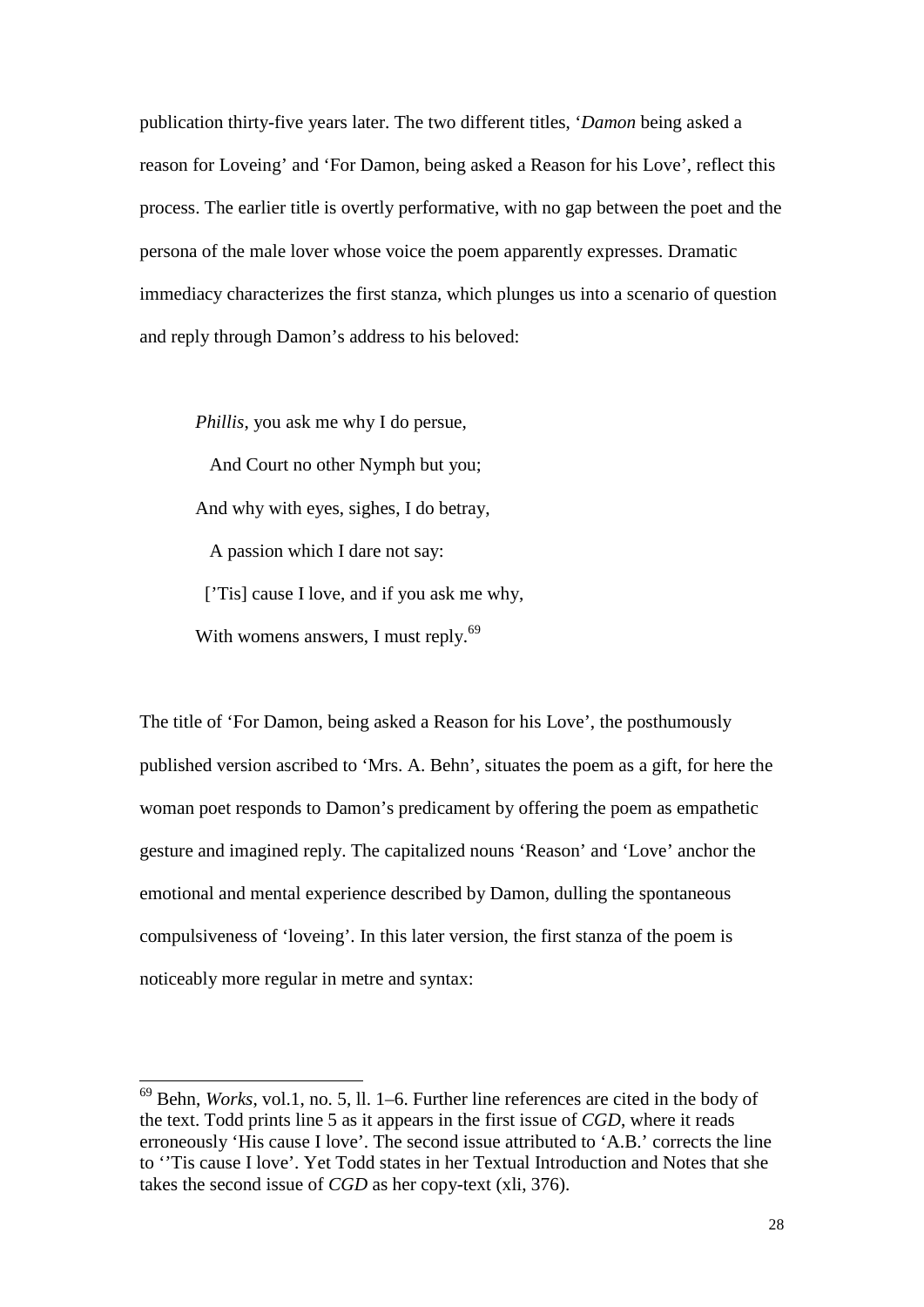publication thirty-five years later. The two different titles, '*Damon* being asked a reason for Loveing' and 'For Damon, being asked a Reason for his Love', reflect this process. The earlier title is overtly performative, with no gap between the poet and the persona of the male lover whose voice the poem apparently expresses. Dramatic immediacy characterizes the first stanza, which plunges us into a scenario of question and reply through Damon's address to his beloved:

*Phillis*, you ask me why I do persue,

And Court no other Nymph but you;

And why with eyes, sighes, I do betray,

A passion which I dare not say:

['Tis] cause I love, and if you ask me why,

With womens answers, I must reply.<sup>69</sup>

-

The title of 'For Damon, being asked a Reason for his Love', the posthumously published version ascribed to 'Mrs. A. Behn', situates the poem as a gift, for here the woman poet responds to Damon's predicament by offering the poem as empathetic gesture and imagined reply. The capitalized nouns 'Reason' and 'Love' anchor the emotional and mental experience described by Damon, dulling the spontaneous compulsiveness of 'loveing'. In this later version, the first stanza of the poem is noticeably more regular in metre and syntax:

<sup>69</sup> Behn, *Works*, vol.1, no. 5, ll. 1–6. Further line references are cited in the body of the text. Todd prints line 5 as it appears in the first issue of *CGD*, where it reads erroneously 'His cause I love'. The second issue attributed to 'A.B.' corrects the line to ''Tis cause I love'. Yet Todd states in her Textual Introduction and Notes that she takes the second issue of *CGD* as her copy-text (xli, 376).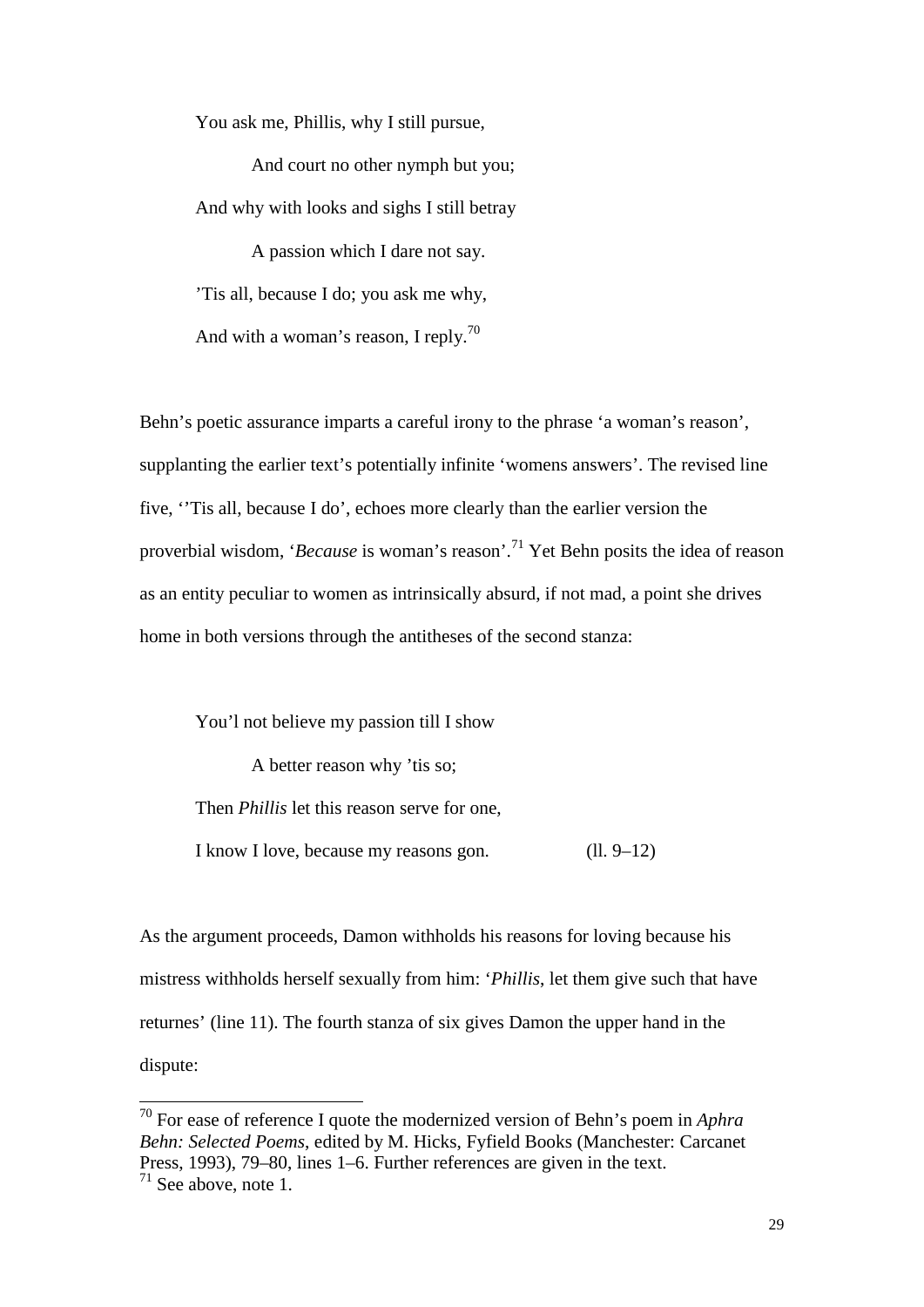You ask me, Phillis, why I still pursue,

And court no other nymph but you; And why with looks and sighs I still betray

A passion which I dare not say. 'Tis all, because I do; you ask me why,

And with a woman's reason, I reply.<sup>70</sup>

Behn's poetic assurance imparts a careful irony to the phrase 'a woman's reason', supplanting the earlier text's potentially infinite 'womens answers'. The revised line five, ''Tis all, because I do', echoes more clearly than the earlier version the proverbial wisdom, '*Because* is woman's reason'.<sup>71</sup> Yet Behn posits the idea of reason as an entity peculiar to women as intrinsically absurd, if not mad, a point she drives home in both versions through the antitheses of the second stanza:

You'l not believe my passion till I show

A better reason why 'tis so; Then *Phillis* let this reason serve for one, I know I love, because my reasons gon. (ll. 9–12)

As the argument proceeds, Damon withholds his reasons for loving because his mistress withholds herself sexually from him: '*Phillis*, let them give such that have returnes' (line 11). The fourth stanza of six gives Damon the upper hand in the dispute:

<sup>70</sup> For ease of reference I quote the modernized version of Behn's poem in *Aphra Behn: Selected Poems*, edited by M. Hicks, Fyfield Books (Manchester: Carcanet Press, 1993), 79–80, lines 1–6. Further references are given in the text.

 $71$  See above, note 1.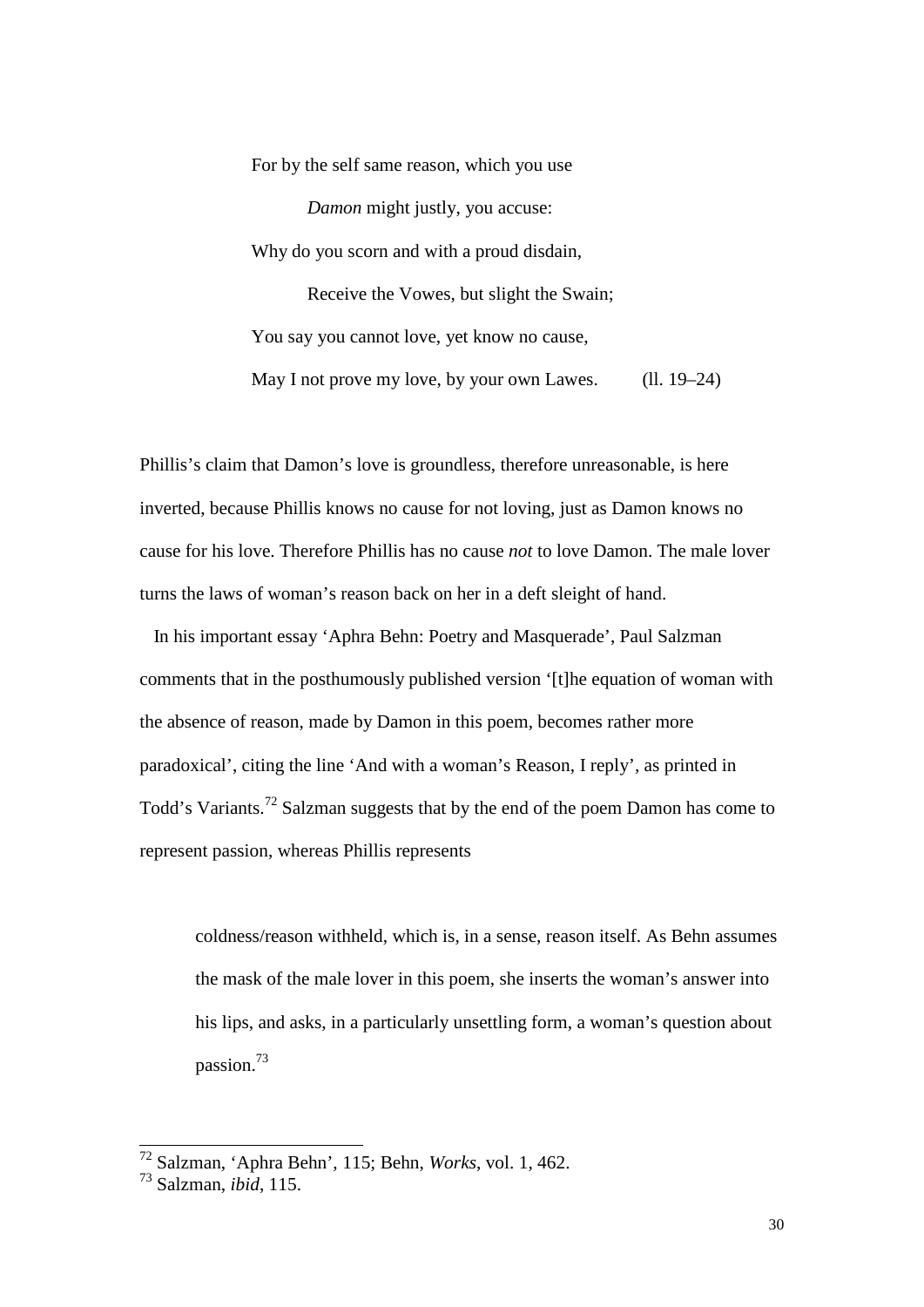For by the self same reason, which you use *Damon* might justly, you accuse: Why do you scorn and with a proud disdain, Receive the Vowes, but slight the Swain; You say you cannot love, yet know no cause, May I not prove my love, by your own Lawes. (ll. 19–24)

Phillis's claim that Damon's love is groundless, therefore unreasonable, is here inverted, because Phillis knows no cause for not loving, just as Damon knows no cause for his love. Therefore Phillis has no cause *not* to love Damon. The male lover turns the laws of woman's reason back on her in a deft sleight of hand.

 In his important essay 'Aphra Behn: Poetry and Masquerade', Paul Salzman comments that in the posthumously published version '[t]he equation of woman with the absence of reason, made by Damon in this poem, becomes rather more paradoxical', citing the line 'And with a woman's Reason, I reply', as printed in Todd's Variants.<sup>72</sup> Salzman suggests that by the end of the poem Damon has come to represent passion, whereas Phillis represents

coldness/reason withheld, which is, in a sense, reason itself. As Behn assumes the mask of the male lover in this poem, she inserts the woman's answer into his lips, and asks, in a particularly unsettling form, a woman's question about passion.73

<sup>72</sup> Salzman, 'Aphra Behn', 115; Behn, *Works*, vol. 1, 462.

<sup>73</sup> Salzman, *ibid*, 115.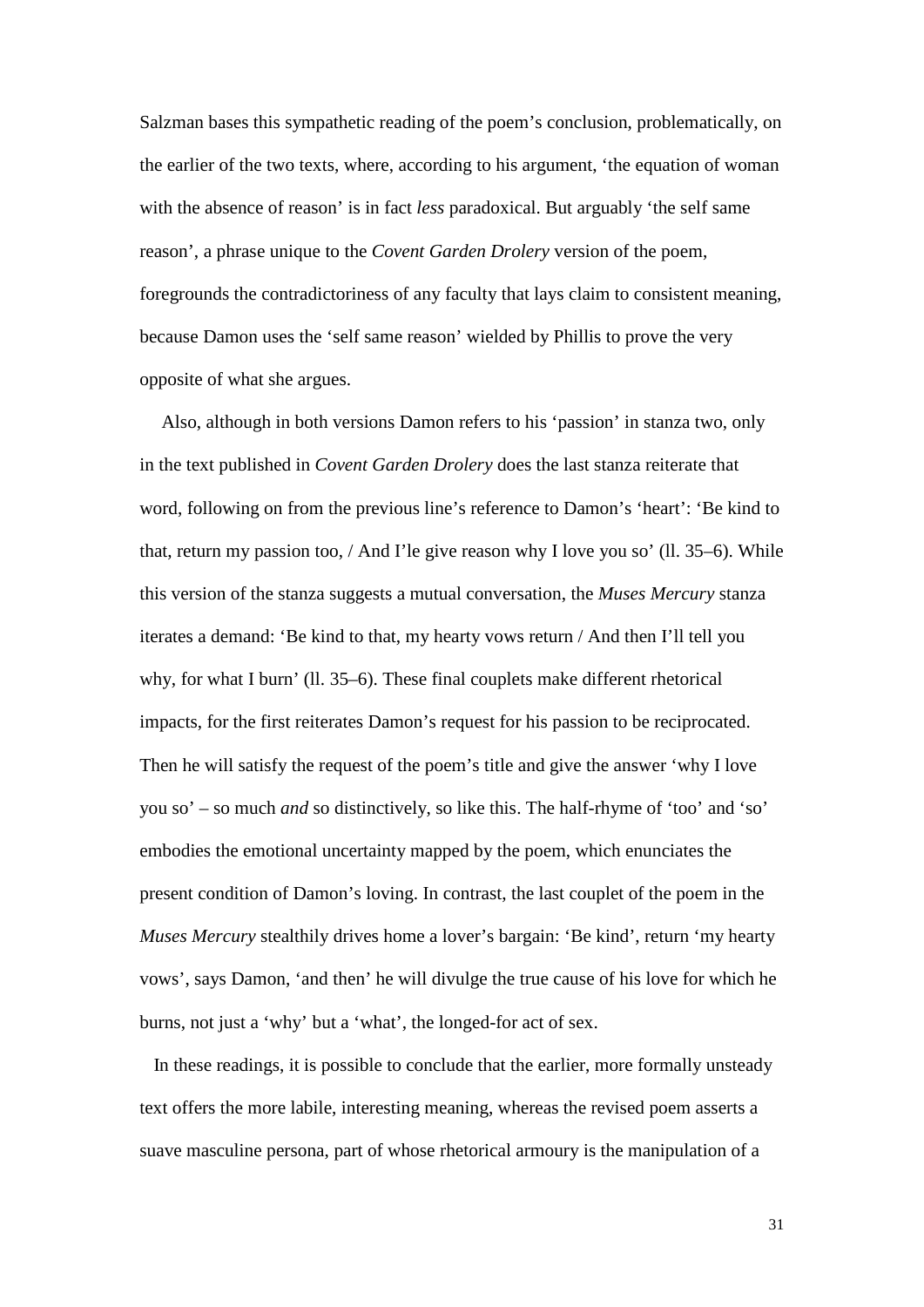Salzman bases this sympathetic reading of the poem's conclusion, problematically, on the earlier of the two texts, where, according to his argument, 'the equation of woman with the absence of reason' is in fact *less* paradoxical. But arguably 'the self same reason', a phrase unique to the *Covent Garden Drolery* version of the poem, foregrounds the contradictoriness of any faculty that lays claim to consistent meaning, because Damon uses the 'self same reason' wielded by Phillis to prove the very opposite of what she argues.

Also, although in both versions Damon refers to his 'passion' in stanza two, only in the text published in *Covent Garden Drolery* does the last stanza reiterate that word, following on from the previous line's reference to Damon's 'heart': 'Be kind to that, return my passion too, / And I'le give reason why I love you so' (ll. 35–6). While this version of the stanza suggests a mutual conversation, the *Muses Mercury* stanza iterates a demand: 'Be kind to that, my hearty vows return / And then I'll tell you why, for what I burn' (ll. 35–6). These final couplets make different rhetorical impacts, for the first reiterates Damon's request for his passion to be reciprocated. Then he will satisfy the request of the poem's title and give the answer 'why I love you so' – so much *and* so distinctively, so like this. The half-rhyme of 'too' and 'so' embodies the emotional uncertainty mapped by the poem, which enunciates the present condition of Damon's loving. In contrast, the last couplet of the poem in the *Muses Mercury* stealthily drives home a lover's bargain: 'Be kind', return 'my hearty vows', says Damon, 'and then' he will divulge the true cause of his love for which he burns, not just a 'why' but a 'what', the longed-for act of sex.

 In these readings, it is possible to conclude that the earlier, more formally unsteady text offers the more labile, interesting meaning, whereas the revised poem asserts a suave masculine persona, part of whose rhetorical armoury is the manipulation of a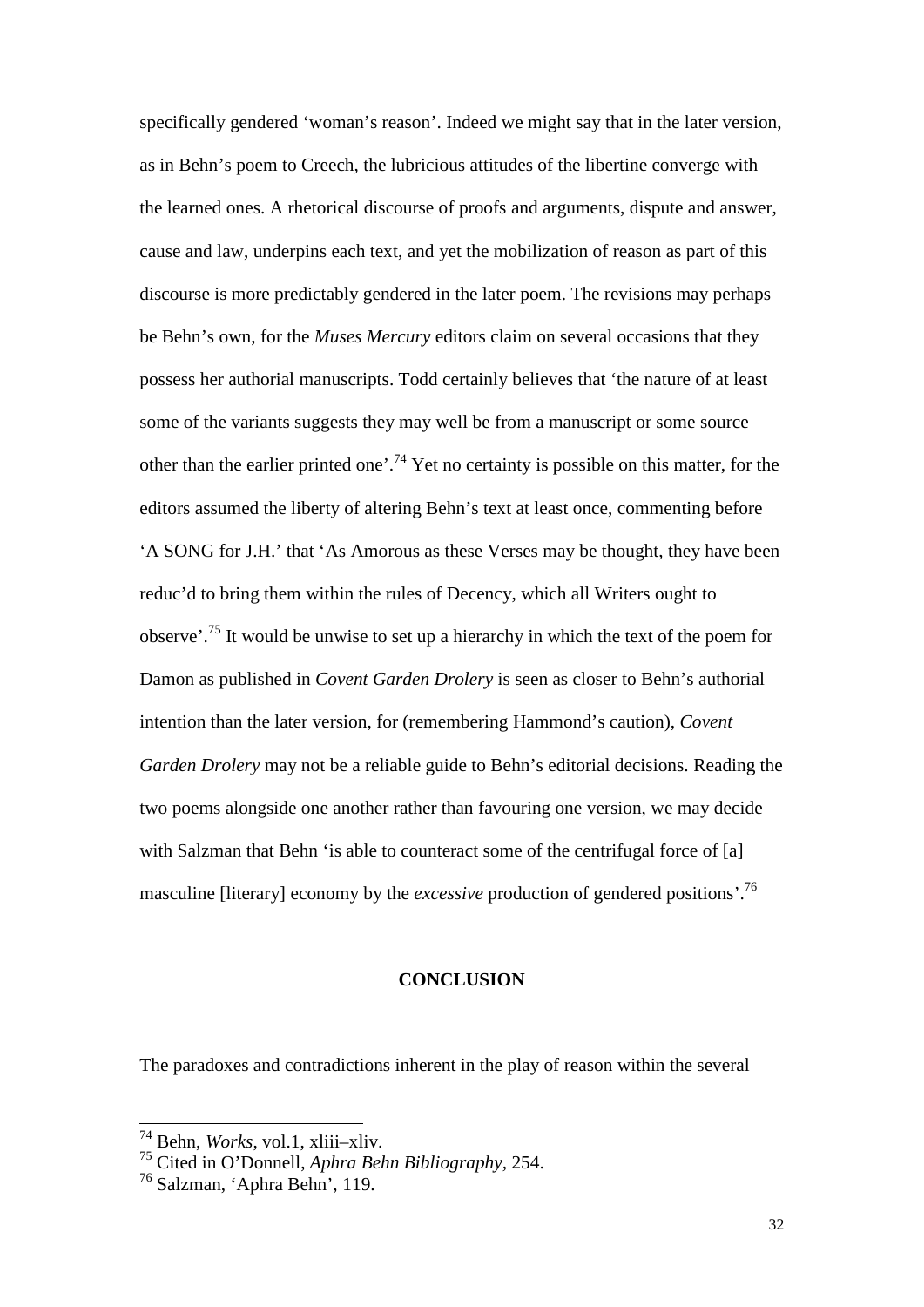specifically gendered 'woman's reason'. Indeed we might say that in the later version, as in Behn's poem to Creech, the lubricious attitudes of the libertine converge with the learned ones. A rhetorical discourse of proofs and arguments, dispute and answer, cause and law, underpins each text, and yet the mobilization of reason as part of this discourse is more predictably gendered in the later poem. The revisions may perhaps be Behn's own, for the *Muses Mercury* editors claim on several occasions that they possess her authorial manuscripts. Todd certainly believes that 'the nature of at least some of the variants suggests they may well be from a manuscript or some source other than the earlier printed one'.<sup>74</sup> Yet no certainty is possible on this matter, for the editors assumed the liberty of altering Behn's text at least once, commenting before 'A SONG for J.H.' that 'As Amorous as these Verses may be thought, they have been reduc'd to bring them within the rules of Decency, which all Writers ought to observe'.<sup>75</sup> It would be unwise to set up a hierarchy in which the text of the poem for Damon as published in *Covent Garden Drolery* is seen as closer to Behn's authorial intention than the later version, for (remembering Hammond's caution), *Covent Garden Drolery* may not be a reliable guide to Behn's editorial decisions. Reading the two poems alongside one another rather than favouring one version, we may decide with Salzman that Behn 'is able to counteract some of the centrifugal force of [a] masculine [literary] economy by the *excessive* production of gendered positions'.<sup>76</sup>

#### **CONCLUSION**

The paradoxes and contradictions inherent in the play of reason within the several

<sup>74</sup> Behn, *Works*, vol.1, xliii–xliv.

<sup>75</sup> Cited in O'Donnell, *Aphra Behn Bibliography,* 254. <sup>76</sup> Salzman, 'Aphra Behn', 119.